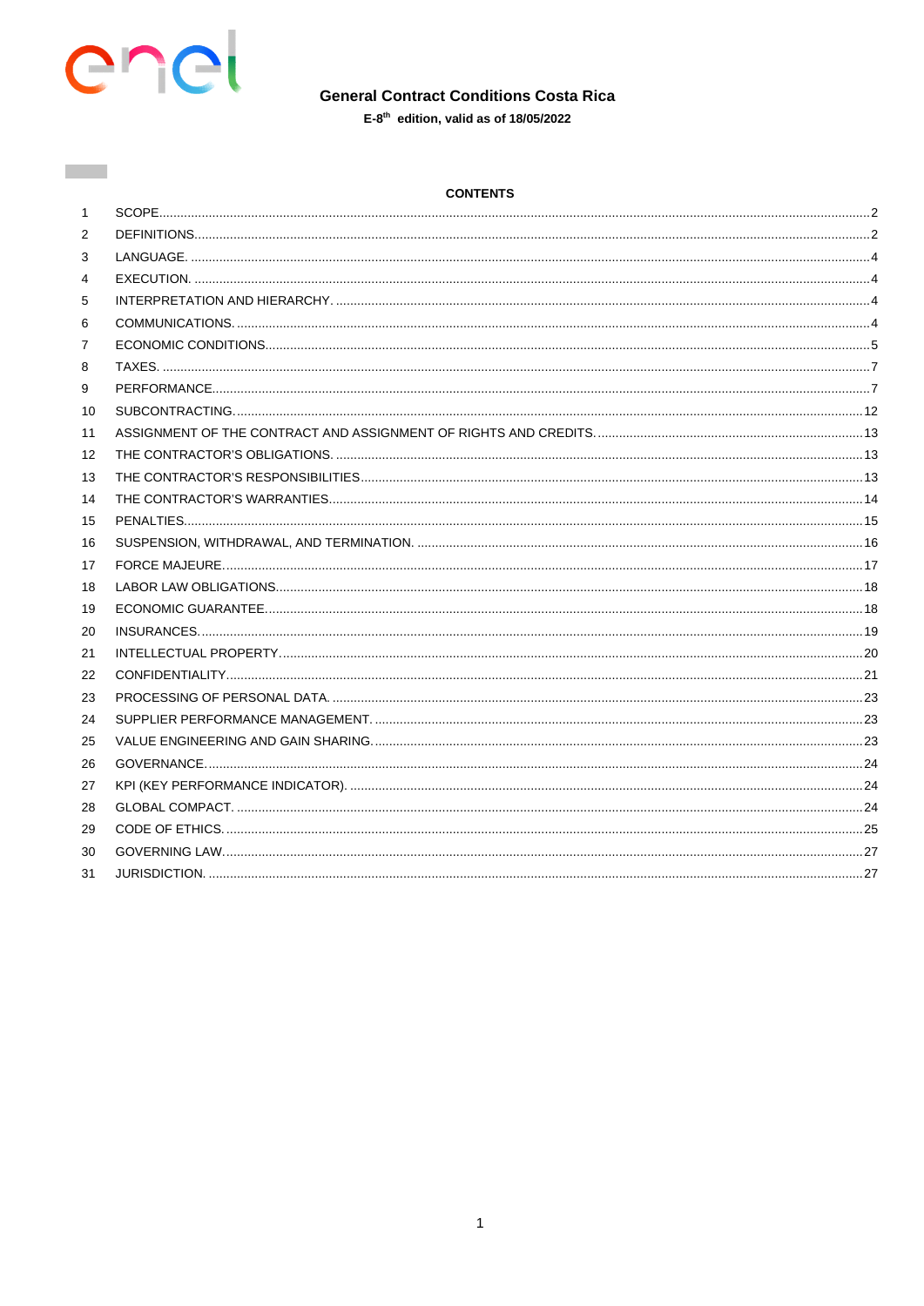

**Contract** 

# **General Contract Conditions Costa Rica**

 $E-8<sup>th</sup>$  edition, valid as of 18/05/2022

| <b>CONTENTS</b> |
|-----------------|
|-----------------|

| $\mathbf{1}$      |  |
|-------------------|--|
| 2                 |  |
| 3                 |  |
| 4                 |  |
| 5                 |  |
| 6                 |  |
| 7                 |  |
| 8                 |  |
| 9                 |  |
| 10                |  |
| 11                |  |
| $12 \overline{ }$ |  |
| 13                |  |
| 14                |  |
| 15                |  |
| 16                |  |
| 17                |  |
| 18                |  |
| 19                |  |
| 20                |  |
| 21                |  |
| 22                |  |
| 23                |  |
| 24                |  |
| 25                |  |
| 26                |  |
| 27                |  |
| 28                |  |
| 29                |  |
| 30                |  |
| 31                |  |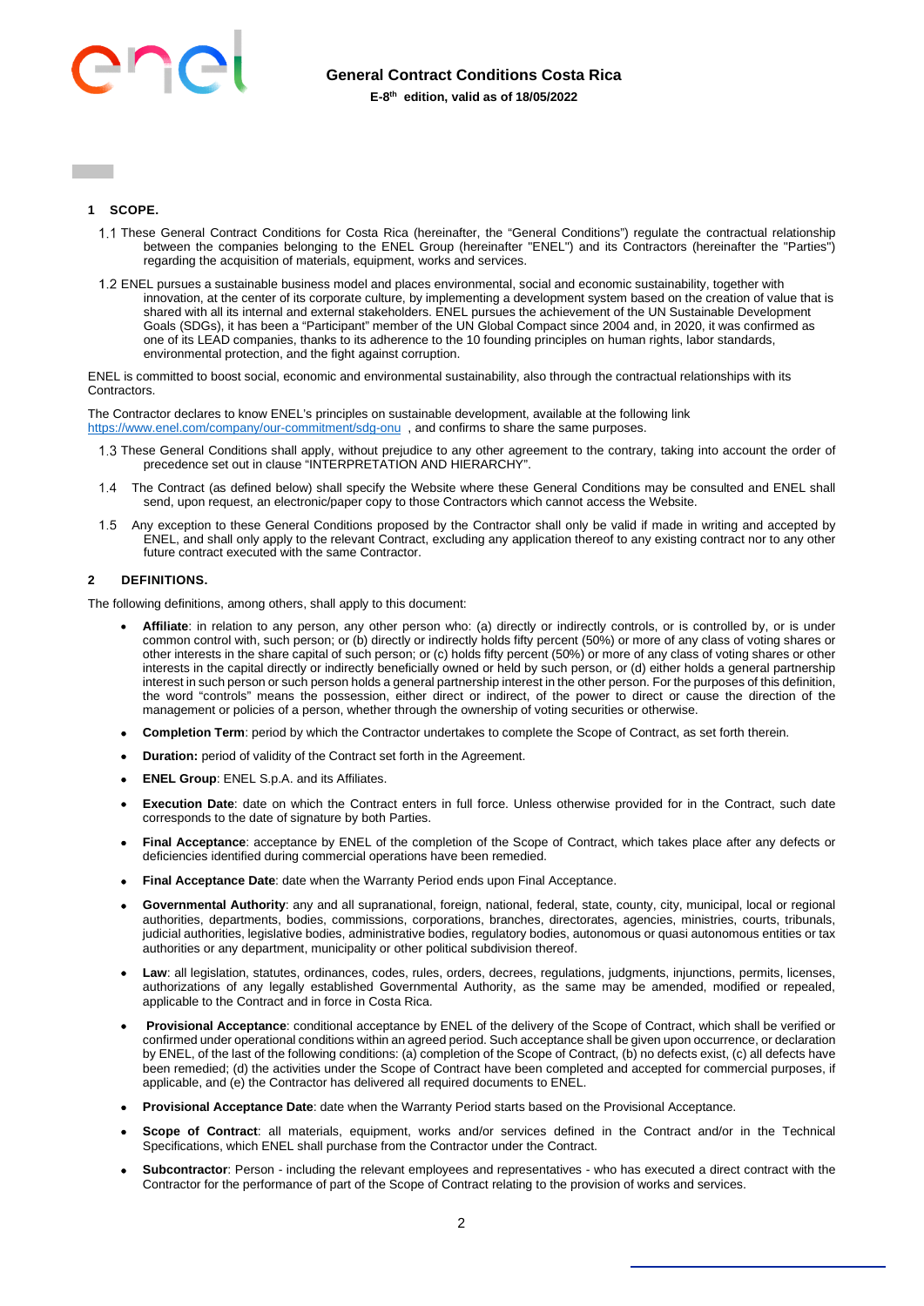

## <span id="page-1-0"></span>**1 SCOPE.**

- These General Contract Conditions for Costa Rica (hereinafter, the "General Conditions") regulate the contractual relationship between the companies belonging to the ENEL Group (hereinafter "ENEL") and its Contractors (hereinafter the "Parties") regarding the acquisition of materials, equipment, works and services.
- ENEL pursues a sustainable business model and places environmental, social and economic sustainability, together with innovation, at the center of its corporate culture, by implementing a development system based on the creation of value that is shared with all its internal and external stakeholders. ENEL pursues the achievement of the UN Sustainable Development Goals (SDGs), it has been a "Participant" member of the UN Global Compact since 2004 and, in 2020, it was confirmed as one of its LEAD companies, thanks to its adherence to the 10 founding principles on human rights, labor standards, environmental protection, and the fight against corruption.

ENEL is committed to boost social, economic and environmental sustainability, also through the contractual relationships with its Contractors.

The Contractor declares to know ENEL's principles on sustainable development, available at the following link <https://www.enel.com/company/our-commitment/sdg-onu>, and confirms to share the same purposes.

- These General Conditions shall apply, without prejudice to any other agreement to the contrary, taking into account the order of precedence set out in clause "INTERPRETATION AND HIERARCHY".
- The Contract (as defined below) shall specify the Website where these General Conditions may be consulted and ENEL shall send, upon request, an electronic/paper copy to those Contractors which cannot access the Website.
- Any exception to these General Conditions proposed by the Contractor shall only be valid if made in writing and accepted by ENEL, and shall only apply to the relevant Contract, excluding any application thereof to any existing contract nor to any other future contract executed with the same Contractor.

# <span id="page-1-1"></span>**2 DEFINITIONS.**

The following definitions, among others, shall apply to this document:

- **Affiliate**: in relation to any person, any other person who: (a) directly or indirectly controls, or is controlled by, or is under common control with, such person; or (b) directly or indirectly holds fifty percent (50%) or more of any class of voting shares or other interests in the share capital of such person; or (c) holds fifty percent (50%) or more of any class of voting shares or other interests in the capital directly or indirectly beneficially owned or held by such person, or (d) either holds a general partnership interest in such person or such person holds a general partnership interest in the other person. For the purposes of this definition, the word "controls" means the possession, either direct or indirect, of the power to direct or cause the direction of the management or policies of a person, whether through the ownership of voting securities or otherwise.
- **Completion Term**: period by which the Contractor undertakes to complete the Scope of Contract, as set forth therein.
- **Duration:** period of validity of the Contract set forth in the Agreement.
- **ENEL Group**: ENEL S.p.A. and its Affiliates.
- **Execution Date**: date on which the Contract enters in full force. Unless otherwise provided for in the Contract, such date corresponds to the date of signature by both Parties.
- **Final Acceptance**: acceptance by ENEL of the completion of the Scope of Contract, which takes place after any defects or deficiencies identified during commercial operations have been remedied.
- **Final Acceptance Date**: date when the Warranty Period ends upon Final Acceptance.
- **Governmental Authority**: any and all supranational, foreign, national, federal, state, county, city, municipal, local or regional authorities, departments, bodies, commissions, corporations, branches, directorates, agencies, ministries, courts, tribunals, judicial authorities, legislative bodies, administrative bodies, regulatory bodies, autonomous or quasi autonomous entities or tax authorities or any department, municipality or other political subdivision thereof.
- **Law**: all legislation, statutes, ordinances, codes, rules, orders, decrees, regulations, judgments, injunctions, permits, licenses, authorizations of any legally established Governmental Authority, as the same may be amended, modified or repealed, applicable to the Contract and in force in Costa Rica.
- **Provisional Acceptance**: conditional acceptance by ENEL of the delivery of the Scope of Contract, which shall be verified or confirmed under operational conditions within an agreed period. Such acceptance shall be given upon occurrence, or declaration by ENEL, of the last of the following conditions: (a) completion of the Scope of Contract, (b) no defects exist, (c) all defects have been remedied; (d) the activities under the Scope of Contract have been completed and accepted for commercial purposes, if applicable, and (e) the Contractor has delivered all required documents to ENEL.
- **Provisional Acceptance Date**: date when the Warranty Period starts based on the Provisional Acceptance.
- **Scope of Contract**: all materials, equipment, works and/or services defined in the Contract and/or in the Technical Specifications, which ENEL shall purchase from the Contractor under the Contract.
- **Subcontractor**: Person including the relevant employees and representatives who has executed a direct contract with the Contractor for the performance of part of the Scope of Contract relating to the provision of works and services.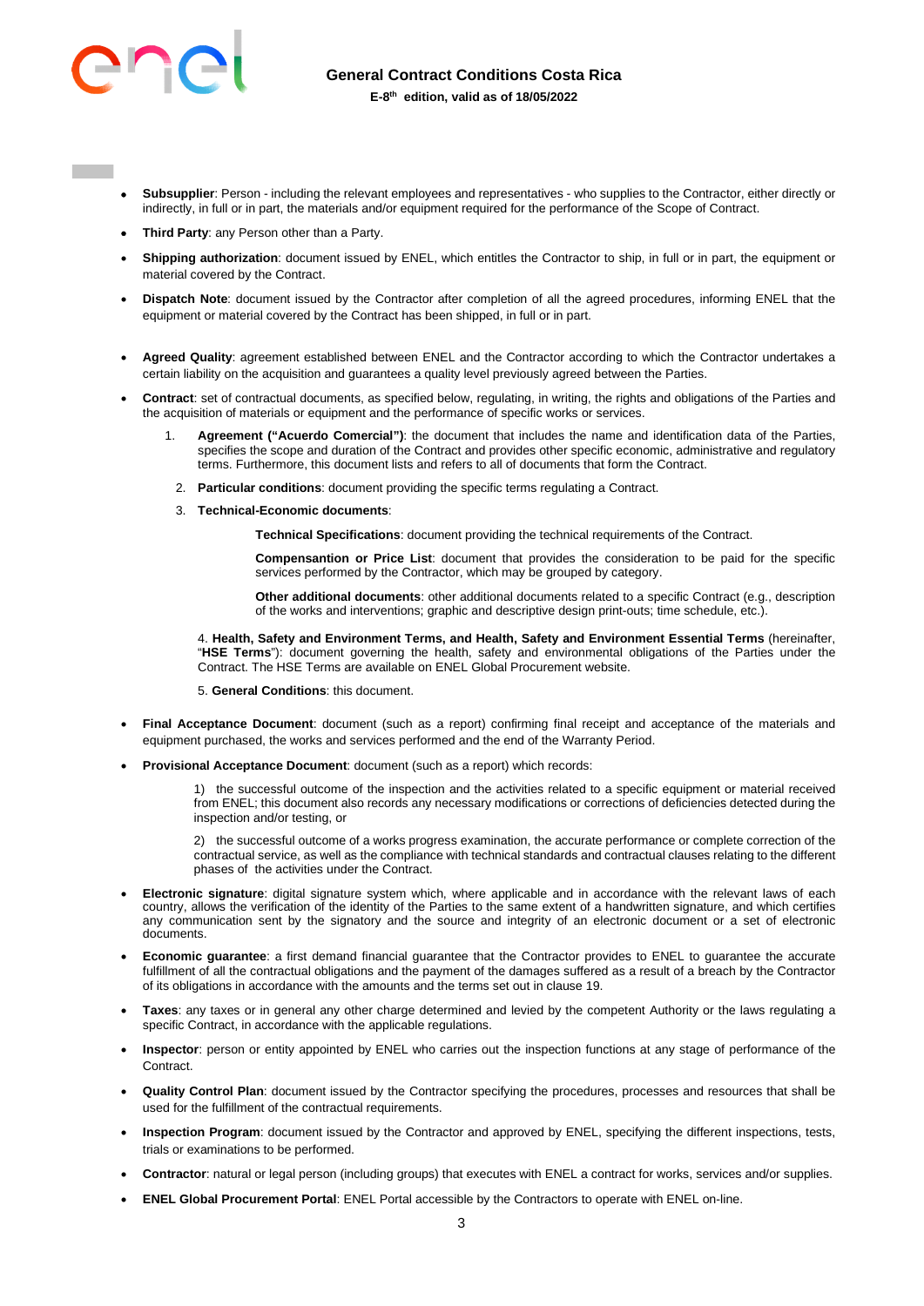

- **Subsupplier**: Person including the relevant employees and representatives who supplies to the Contractor, either directly or indirectly, in full or in part, the materials and/or equipment required for the performance of the Scope of Contract.
- **Third Party**: any Person other than a Party.
- **Shipping authorization**: document issued by ENEL, which entitles the Contractor to ship, in full or in part, the equipment or material covered by the Contract.
- **Dispatch Note**: document issued by the Contractor after completion of all the agreed procedures, informing ENEL that the equipment or material covered by the Contract has been shipped, in full or in part.
- **Agreed Quality**: agreement established between ENEL and the Contractor according to which the Contractor undertakes a certain liability on the acquisition and guarantees a quality level previously agreed between the Parties.
- **Contract**: set of contractual documents, as specified below, regulating, in writing, the rights and obligations of the Parties and the acquisition of materials or equipment and the performance of specific works or services.
	- 1. **Agreement ("Acuerdo Comercial")**: the document that includes the name and identification data of the Parties, specifies the scope and duration of the Contract and provides other specific economic, administrative and regulatory terms. Furthermore, this document lists and refers to all of documents that form the Contract.
		- 2. **Particular conditions**: document providing the specific terms regulating a Contract.
	- 3. **Technical-Economic documents**:

**Technical Specifications**: document providing the technical requirements of the Contract.

**Compensantion or Price List**: document that provides the consideration to be paid for the specific services performed by the Contractor, which may be grouped by category.

**Other additional documents**: other additional documents related to a specific Contract (e.g., description of the works and interventions; graphic and descriptive design print-outs; time schedule, etc.).

4. **Health, Safety and Environment Terms, and Health, Safety and Environment Essential Terms** (hereinafter, "**HSE Terms**"): document governing the health, safety and environmental obligations of the Parties under the Contract. The HSE Terms are available on ENEL Global Procurement website.

5. **General Conditions**: this document.

- **Final Acceptance Document**: document (such as a report) confirming final receipt and acceptance of the materials and equipment purchased, the works and services performed and the end of the Warranty Period.
- **Provisional Acceptance Document**: document (such as a report) which records:

1) the successful outcome of the inspection and the activities related to a specific equipment or material received from ENEL; this document also records any necessary modifications or corrections of deficiencies detected during the inspection and/or testing, or

2) the successful outcome of a works progress examination, the accurate performance or complete correction of the contractual service, as well as the compliance with technical standards and contractual clauses relating to the different phases of the activities under the Contract.

- **Electronic signature**: digital signature system which, where applicable and in accordance with the relevant laws of each country, allows the verification of the identity of the Parties to the same extent of a handwritten signature, and which certifies any communication sent by the signatory and the source and integrity of an electronic document or a set of electronic documents.
- **Economic guarantee**: a first demand financial guarantee that the Contractor provides to ENEL to guarantee the accurate fulfillment of all the contractual obligations and the payment of the damages suffered as a result of a breach by the Contractor of its obligations in accordance with the amounts and the terms set out in clause 19.
- **Taxes**: any taxes or in general any other charge determined and levied by the competent Authority or the laws regulating a specific Contract, in accordance with the applicable regulations.
- **Inspector**: person or entity appointed by ENEL who carries out the inspection functions at any stage of performance of the Contract.
- **Quality Control Plan**: document issued by the Contractor specifying the procedures, processes and resources that shall be used for the fulfillment of the contractual requirements.
- **Inspection Program**: document issued by the Contractor and approved by ENEL, specifying the different inspections, tests, trials or examinations to be performed.
- **Contractor**: natural or legal person (including groups) that executes with ENEL a contract for works, services and/or supplies.
- **ENEL Global Procurement Portal**: ENEL Portal accessible by the Contractors to operate with ENEL on-line.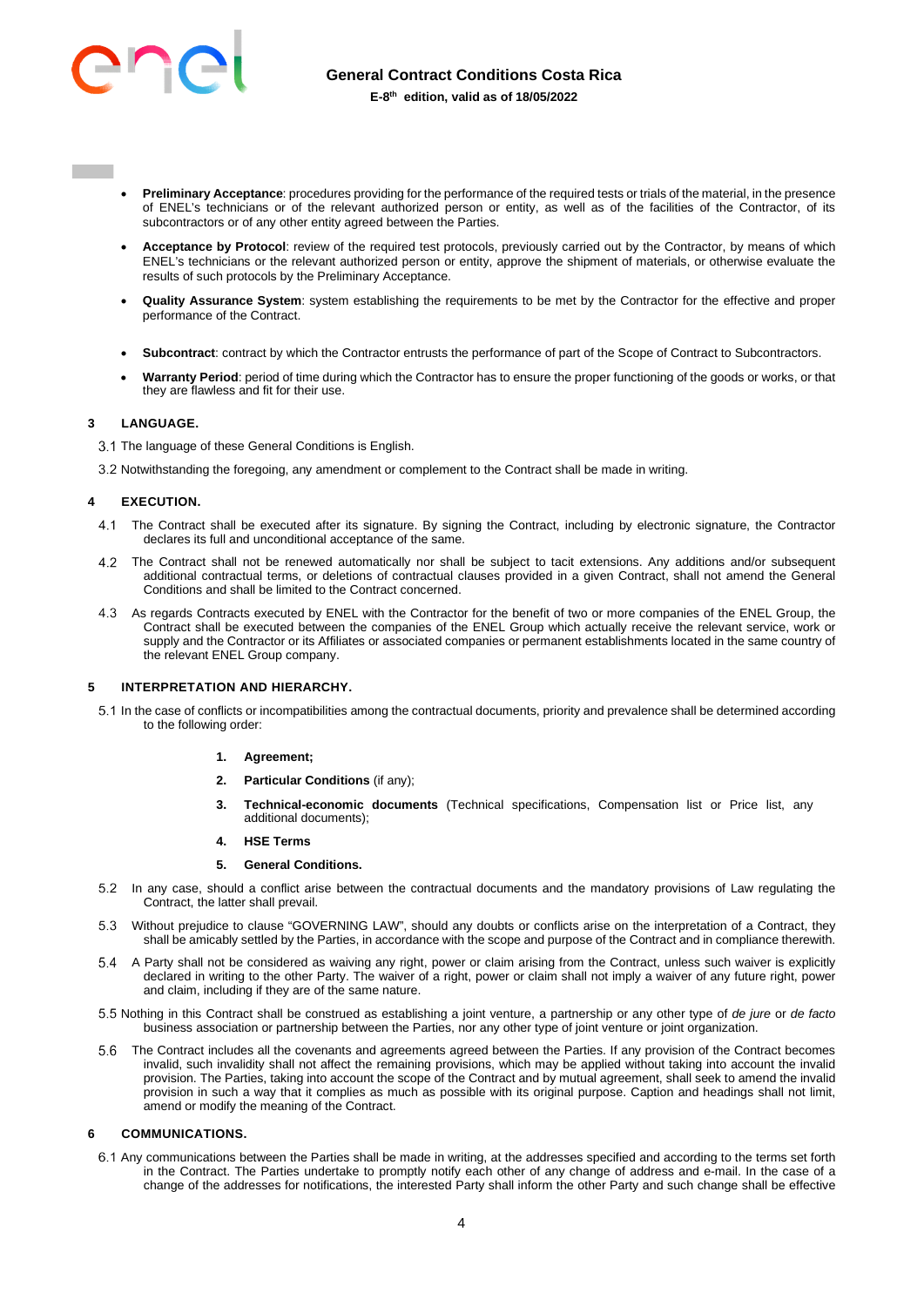

- **Preliminary Acceptance**: procedures providing for the performance of the required tests or trials of the material, in the presence of ENEL's technicians or of the relevant authorized person or entity, as well as of the facilities of the Contractor, of its subcontractors or of any other entity agreed between the Parties.
- **Acceptance by Protocol**: review of the required test protocols, previously carried out by the Contractor, by means of which ENEL's technicians or the relevant authorized person or entity, approve the shipment of materials, or otherwise evaluate the results of such protocols by the Preliminary Acceptance.
- **Quality Assurance System**: system establishing the requirements to be met by the Contractor for the effective and proper performance of the Contract.
- **Subcontract**: contract by which the Contractor entrusts the performance of part of the Scope of Contract to Subcontractors.
- **Warranty Period**: period of time during which the Contractor has to ensure the proper functioning of the goods or works, or that they are flawless and fit for their use.

# <span id="page-3-0"></span>**3 LANGUAGE.**

- 3.1 The language of these General Conditions is English.
- 3.2 Notwithstanding the foregoing, any amendment or complement to the Contract shall be made in writing.

### <span id="page-3-1"></span>**4 EXECUTION.**

- The Contract shall be executed after its signature. By signing the Contract, including by electronic signature, the Contractor declares its full and unconditional acceptance of the same.
- The Contract shall not be renewed automatically nor shall be subject to tacit extensions. Any additions and/or subsequent additional contractual terms, or deletions of contractual clauses provided in a given Contract, shall not amend the General Conditions and shall be limited to the Contract concerned.
- As regards Contracts executed by ENEL with the Contractor for the benefit of two or more companies of the ENEL Group, the Contract shall be executed between the companies of the ENEL Group which actually receive the relevant service, work or supply and the Contractor or its Affiliates or associated companies or permanent establishments located in the same country of the relevant ENEL Group company.

### <span id="page-3-2"></span>**5 INTERPRETATION AND HIERARCHY.**

 In the case of conflicts or incompatibilities among the contractual documents, priority and prevalence shall be determined according to the following order:

## **1. Agreement;**

- **2. Particular Conditions** (if any);
- **3. Technical-economic documents** (Technical specifications, Compensation list or Price list, any additional documents);
- **4. HSE Terms**

### **5. General Conditions.**

- In any case, should a conflict arise between the contractual documents and the mandatory provisions of Law regulating the Contract, the latter shall prevail.
- Without prejudice to clause "GOVERNING LAW", should any doubts or conflicts arise on the interpretation of a Contract, they shall be amicably settled by the Parties, in accordance with the scope and purpose of the Contract and in compliance therewith.
- A Party shall not be considered as waiving any right, power or claim arising from the Contract, unless such waiver is explicitly declared in writing to the other Party. The waiver of a right, power or claim shall not imply a waiver of any future right, power and claim, including if they are of the same nature.
- Nothing in this Contract shall be construed as establishing a joint venture, a partnership or any other type of *de jure* or *de facto* business association or partnership between the Parties, nor any other type of joint venture or joint organization.
- The Contract includes all the covenants and agreements agreed between the Parties. If any provision of the Contract becomes invalid, such invalidity shall not affect the remaining provisions, which may be applied without taking into account the invalid provision. The Parties, taking into account the scope of the Contract and by mutual agreement, shall seek to amend the invalid provision in such a way that it complies as much as possible with its original purpose. Caption and headings shall not limit, amend or modify the meaning of the Contract.

### <span id="page-3-3"></span>**6 COMMUNICATIONS.**

 Any communications between the Parties shall be made in writing, at the addresses specified and according to the terms set forth in the Contract. The Parties undertake to promptly notify each other of any change of address and e-mail. In the case of a change of the addresses for notifications, the interested Party shall inform the other Party and such change shall be effective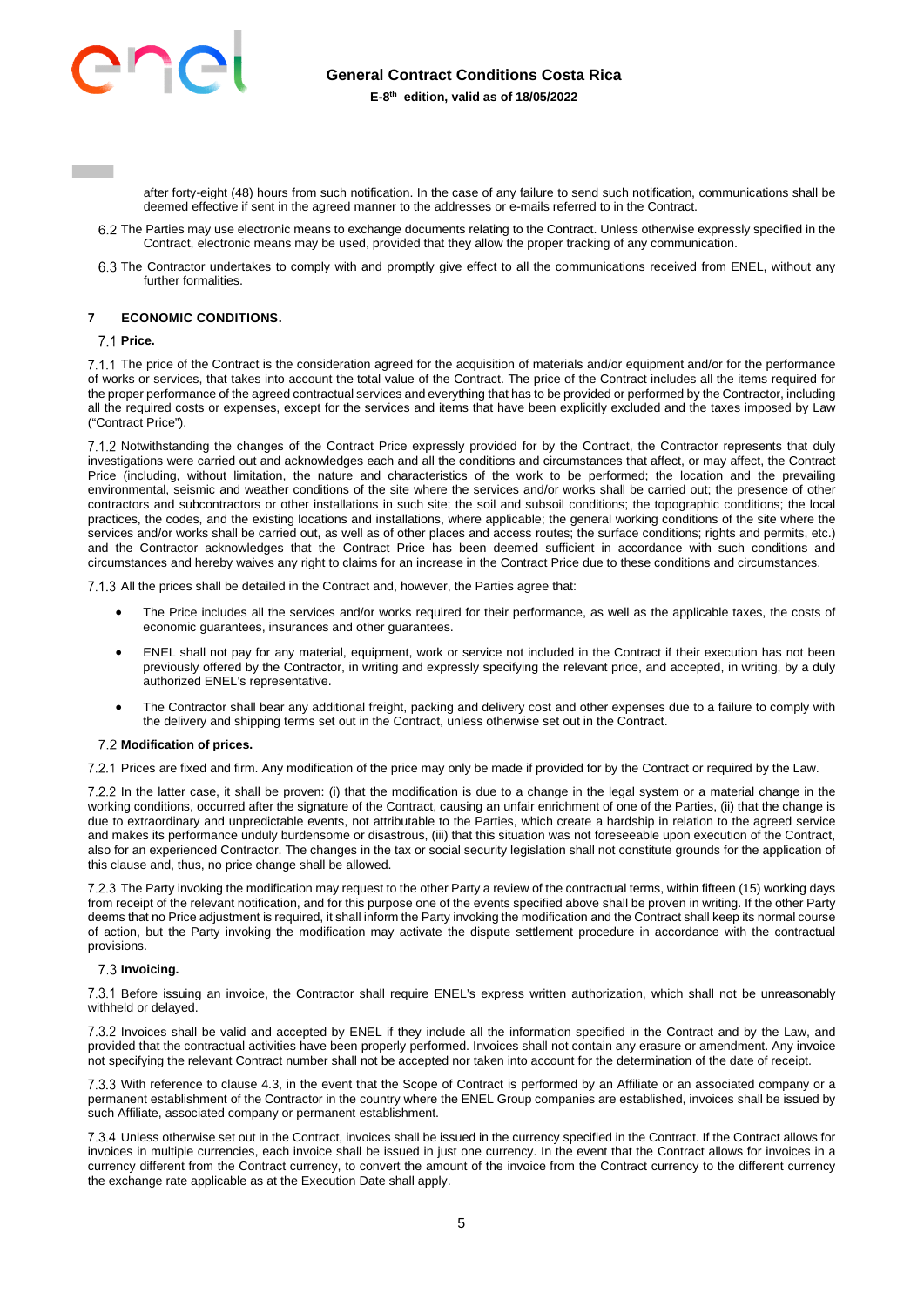

after forty-eight (48) hours from such notification. In the case of any failure to send such notification, communications shall be deemed effective if sent in the agreed manner to the addresses or e-mails referred to in the Contract.

- 6.2 The Parties may use electronic means to exchange documents relating to the Contract. Unless otherwise expressly specified in the Contract, electronic means may be used, provided that they allow the proper tracking of any communication.
- The Contractor undertakes to comply with and promptly give effect to all the communications received from ENEL, without any further formalities.

# <span id="page-4-0"></span>**7 ECONOMIC CONDITIONS.**

### **Price.**

7.1.1 The price of the Contract is the consideration agreed for the acquisition of materials and/or equipment and/or for the performance of works or services, that takes into account the total value of the Contract. The price of the Contract includes all the items required for the proper performance of the agreed contractual services and everything that has to be provided or performed by the Contractor, including all the required costs or expenses, except for the services and items that have been explicitly excluded and the taxes imposed by Law ("Contract Price").

7.1.2 Notwithstanding the changes of the Contract Price expressly provided for by the Contract, the Contractor represents that duly investigations were carried out and acknowledges each and all the conditions and circumstances that affect, or may affect, the Contract Price (including, without limitation, the nature and characteristics of the work to be performed; the location and the prevailing environmental, seismic and weather conditions of the site where the services and/or works shall be carried out; the presence of other contractors and subcontractors or other installations in such site; the soil and subsoil conditions; the topographic conditions; the local practices, the codes, and the existing locations and installations, where applicable; the general working conditions of the site where the services and/or works shall be carried out, as well as of other places and access routes; the surface conditions; rights and permits, etc.) and the Contractor acknowledges that the Contract Price has been deemed sufficient in accordance with such conditions and circumstances and hereby waives any right to claims for an increase in the Contract Price due to these conditions and circumstances.

7.1.3 All the prices shall be detailed in the Contract and, however, the Parties agree that:

- The Price includes all the services and/or works required for their performance, as well as the applicable taxes, the costs of economic guarantees, insurances and other guarantees.
- ENEL shall not pay for any material, equipment, work or service not included in the Contract if their execution has not been previously offered by the Contractor, in writing and expressly specifying the relevant price, and accepted, in writing, by a duly authorized ENEL's representative.
- The Contractor shall bear any additional freight, packing and delivery cost and other expenses due to a failure to comply with the delivery and shipping terms set out in the Contract, unless otherwise set out in the Contract.

### **Modification of prices.**

Prices are fixed and firm. Any modification of the price may only be made if provided for by the Contract or required by the Law.

7.2.2 In the latter case, it shall be proven: (i) that the modification is due to a change in the legal system or a material change in the working conditions, occurred after the signature of the Contract, causing an unfair enrichment of one of the Parties, (ii) that the change is due to extraordinary and unpredictable events, not attributable to the Parties, which create a hardship in relation to the agreed service and makes its performance unduly burdensome or disastrous, (iii) that this situation was not foreseeable upon execution of the Contract, also for an experienced Contractor. The changes in the tax or social security legislation shall not constitute grounds for the application of this clause and, thus, no price change shall be allowed.

7.2.3 The Party invoking the modification may request to the other Party a review of the contractual terms, within fifteen (15) working days from receipt of the relevant notification, and for this purpose one of the events specified above shall be proven in writing. If the other Party deems that no Price adjustment is required, it shall inform the Party invoking the modification and the Contract shall keep its normal course of action, but the Party invoking the modification may activate the dispute settlement procedure in accordance with the contractual provisions.

### **Invoicing.**

 Before issuing an invoice, the Contractor shall require ENEL's express written authorization, which shall not be unreasonably withheld or delayed.

 Invoices shall be valid and accepted by ENEL if they include all the information specified in the Contract and by the Law, and provided that the contractual activities have been properly performed. Invoices shall not contain any erasure or amendment. Any invoice not specifying the relevant Contract number shall not be accepted nor taken into account for the determination of the date of receipt.

7.3.3 With reference to clause 4.3, in the event that the Scope of Contract is performed by an Affiliate or an associated company or a permanent establishment of the Contractor in the country where the ENEL Group companies are established, invoices shall be issued by such Affiliate, associated company or permanent establishment.

 Unless otherwise set out in the Contract, invoices shall be issued in the currency specified in the Contract. If the Contract allows for invoices in multiple currencies, each invoice shall be issued in just one currency. In the event that the Contract allows for invoices in a currency different from the Contract currency, to convert the amount of the invoice from the Contract currency to the different currency the exchange rate applicable as at the Execution Date shall apply.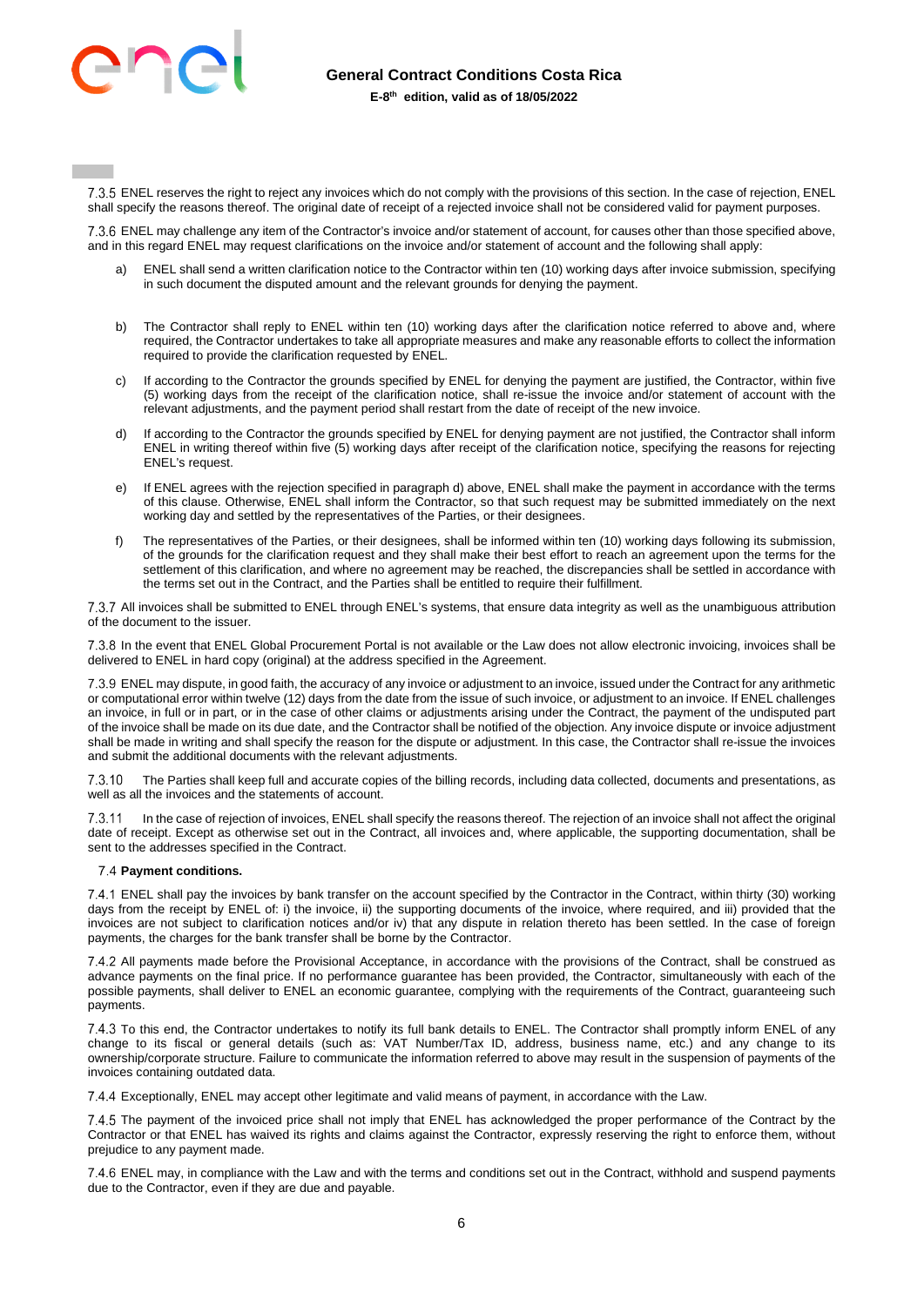

7.3.5 ENEL reserves the right to reject any invoices which do not comply with the provisions of this section. In the case of rejection, ENEL shall specify the reasons thereof. The original date of receipt of a rejected invoice shall not be considered valid for payment purposes.

7.3.6 ENEL may challenge any item of the Contractor's invoice and/or statement of account, for causes other than those specified above, and in this regard ENEL may request clarifications on the invoice and/or statement of account and the following shall apply:

- ENEL shall send a written clarification notice to the Contractor within ten (10) working days after invoice submission, specifying in such document the disputed amount and the relevant grounds for denying the payment.
- b) The Contractor shall reply to ENEL within ten (10) working days after the clarification notice referred to above and, where required, the Contractor undertakes to take all appropriate measures and make any reasonable efforts to collect the information required to provide the clarification requested by ENEL.
- c) If according to the Contractor the grounds specified by ENEL for denying the payment are justified, the Contractor, within five (5) working days from the receipt of the clarification notice, shall re-issue the invoice and/or statement of account with the relevant adjustments, and the payment period shall restart from the date of receipt of the new invoice.
- d) If according to the Contractor the grounds specified by ENEL for denying payment are not justified, the Contractor shall inform ENEL in writing thereof within five (5) working days after receipt of the clarification notice, specifying the reasons for rejecting ENEL's request.
- e) If ENEL agrees with the rejection specified in paragraph d) above, ENEL shall make the payment in accordance with the terms of this clause. Otherwise, ENEL shall inform the Contractor, so that such request may be submitted immediately on the next working day and settled by the representatives of the Parties, or their designees.
- f) The representatives of the Parties, or their designees, shall be informed within ten (10) working days following its submission, of the grounds for the clarification request and they shall make their best effort to reach an agreement upon the terms for the settlement of this clarification, and where no agreement may be reached, the discrepancies shall be settled in accordance with the terms set out in the Contract, and the Parties shall be entitled to require their fulfillment.

 All invoices shall be submitted to ENEL through ENEL's systems, that ensure data integrity as well as the unambiguous attribution of the document to the issuer.

 In the event that ENEL Global Procurement Portal is not available or the Law does not allow electronic invoicing, invoices shall be delivered to ENEL in hard copy (original) at the address specified in the Agreement.

7.3.9 ENEL may dispute, in good faith, the accuracy of any invoice or adjustment to an invoice, issued under the Contract for any arithmetic or computational error within twelve (12) days from the date from the issue of such invoice, or adjustment to an invoice. If ENEL challenges an invoice, in full or in part, or in the case of other claims or adjustments arising under the Contract, the payment of the undisputed part of the invoice shall be made on its due date, and the Contractor shall be notified of the objection. Any invoice dispute or invoice adjustment shall be made in writing and shall specify the reason for the dispute or adjustment. In this case, the Contractor shall re-issue the invoices and submit the additional documents with the relevant adjustments.

 The Parties shall keep full and accurate copies of the billing records, including data collected, documents and presentations, as well as all the invoices and the statements of account.

7.3.11 In the case of rejection of invoices, ENEL shall specify the reasons thereof. The rejection of an invoice shall not affect the original date of receipt. Except as otherwise set out in the Contract, all invoices and, where applicable, the supporting documentation, shall be sent to the addresses specified in the Contract.

# **Payment conditions.**

7.4.1 ENEL shall pay the invoices by bank transfer on the account specified by the Contractor in the Contract, within thirty (30) working days from the receipt by ENEL of: i) the invoice, ii) the supporting documents of the invoice, where required, and iii) provided that the invoices are not subject to clarification notices and/or iv) that any dispute in relation thereto has been settled. In the case of foreign payments, the charges for the bank transfer shall be borne by the Contractor.

7.4.2 All payments made before the Provisional Acceptance, in accordance with the provisions of the Contract, shall be construed as advance payments on the final price. If no performance guarantee has been provided, the Contractor, simultaneously with each of the possible payments, shall deliver to ENEL an economic guarantee, complying with the requirements of the Contract, guaranteeing such payments.

7.4.3 To this end, the Contractor undertakes to notify its full bank details to ENEL. The Contractor shall promptly inform ENEL of any change to its fiscal or general details (such as: VAT Number/Tax ID, address, business name, etc.) and any change to its ownership/corporate structure. Failure to communicate the information referred to above may result in the suspension of payments of the invoices containing outdated data.

Exceptionally, ENEL may accept other legitimate and valid means of payment, in accordance with the Law.

7.4.5 The payment of the invoiced price shall not imply that ENEL has acknowledged the proper performance of the Contract by the Contractor or that ENEL has waived its rights and claims against the Contractor, expressly reserving the right to enforce them, without prejudice to any payment made.

7.4.6 ENEL may, in compliance with the Law and with the terms and conditions set out in the Contract, withhold and suspend payments due to the Contractor, even if they are due and payable.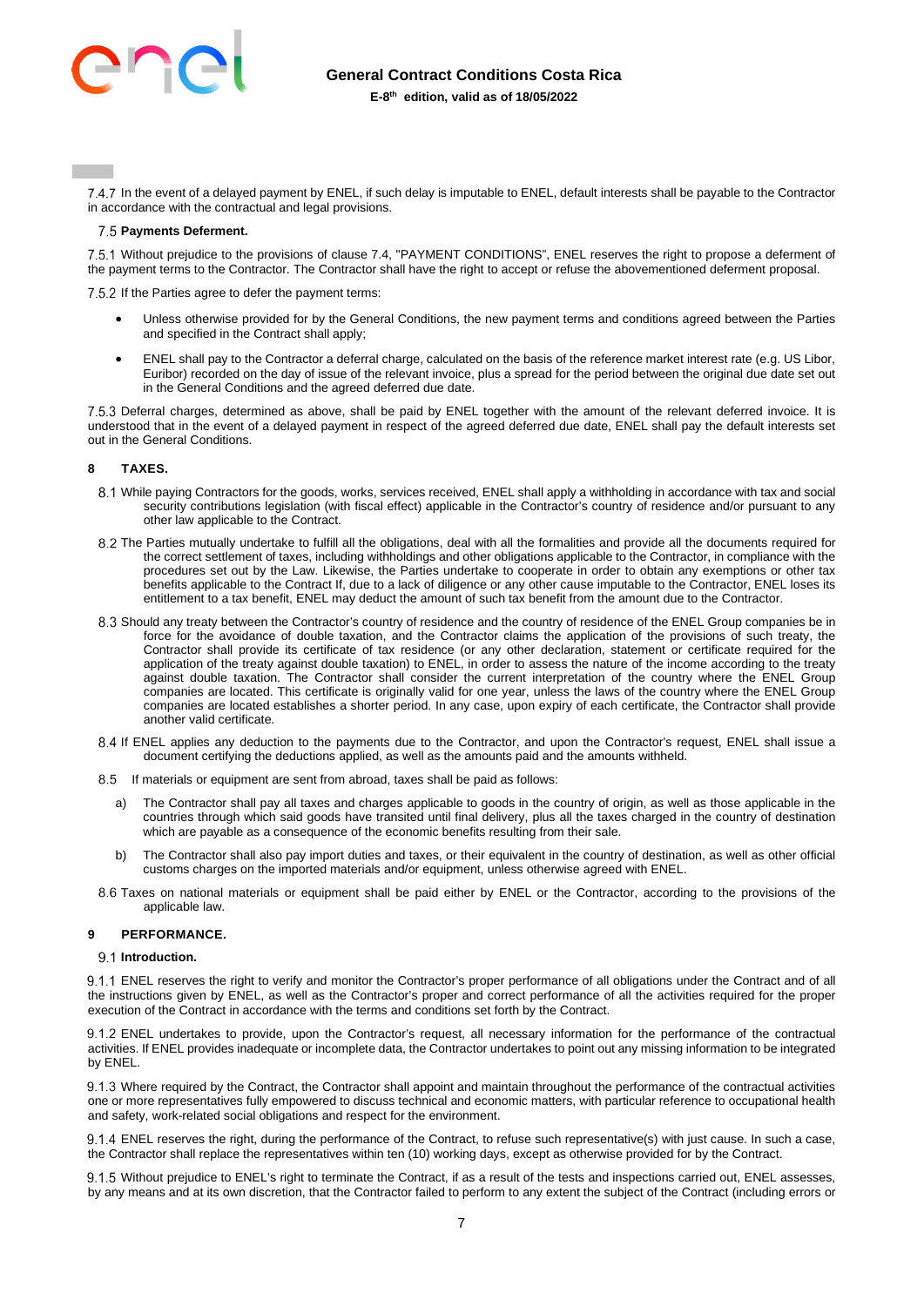

7.4.7 In the event of a delayed payment by ENEL, if such delay is imputable to ENEL, default interests shall be payable to the Contractor in accordance with the contractual and legal provisions.

### **Payments Deferment.**

 Without prejudice to the provisions of clause 7.4, "PAYMENT CONDITIONS", ENEL reserves the right to propose a deferment of the payment terms to the Contractor. The Contractor shall have the right to accept or refuse the abovementioned deferment proposal.

7.5.2 If the Parties agree to defer the payment terms:

- Unless otherwise provided for by the General Conditions, the new payment terms and conditions agreed between the Parties and specified in the Contract shall apply;
- ENEL shall pay to the Contractor a deferral charge, calculated on the basis of the reference market interest rate (e.g. US Libor, Euribor) recorded on the day of issue of the relevant invoice, plus a spread for the period between the original due date set out in the General Conditions and the agreed deferred due date.

 Deferral charges, determined as above, shall be paid by ENEL together with the amount of the relevant deferred invoice. It is understood that in the event of a delayed payment in respect of the agreed deferred due date, ENEL shall pay the default interests set out in the General Conditions.

### <span id="page-6-0"></span>**8 TAXES.**

- While paying Contractors for the goods, works, services received, ENEL shall apply a withholding in accordance with tax and social security contributions legislation (with fiscal effect) applicable in the Contractor's country of residence and/or pursuant to any other law applicable to the Contract.
- 8.2 The Parties mutually undertake to fulfill all the obligations, deal with all the formalities and provide all the documents required for the correct settlement of taxes, including withholdings and other obligations applicable to the Contractor, in compliance with the procedures set out by the Law. Likewise, the Parties undertake to cooperate in order to obtain any exemptions or other tax benefits applicable to the Contract If, due to a lack of diligence or any other cause imputable to the Contractor, ENEL loses its entitlement to a tax benefit, ENEL may deduct the amount of such tax benefit from the amount due to the Contractor.
- Should any treaty between the Contractor's country of residence and the country of residence of the ENEL Group companies be in force for the avoidance of double taxation, and the Contractor claims the application of the provisions of such treaty, the Contractor shall provide its certificate of tax residence (or any other declaration, statement or certificate required for the application of the treaty against double taxation) to ENEL, in order to assess the nature of the income according to the treaty against double taxation. The Contractor shall consider the current interpretation of the country where the ENEL Group companies are located. This certificate is originally valid for one year, unless the laws of the country where the ENEL Group companies are located establishes a shorter period. In any case, upon expiry of each certificate, the Contractor shall provide another valid certificate.
- 8.4 If ENEL applies any deduction to the payments due to the Contractor, and upon the Contractor's request, ENEL shall issue a document certifying the deductions applied, as well as the amounts paid and the amounts withheld.
- 8.5 If materials or equipment are sent from abroad, taxes shall be paid as follows:
	- a) The Contractor shall pay all taxes and charges applicable to goods in the country of origin, as well as those applicable in the countries through which said goods have transited until final delivery, plus all the taxes charged in the country of destination which are payable as a consequence of the economic benefits resulting from their sale.
	- b) The Contractor shall also pay import duties and taxes, or their equivalent in the country of destination, as well as other official customs charges on the imported materials and/or equipment, unless otherwise agreed with ENEL.
- Taxes on national materials or equipment shall be paid either by ENEL or the Contractor, according to the provisions of the applicable law.

### <span id="page-6-1"></span>**9 PERFORMANCE.**

# 9.1 Introduction.

9.1.1 ENEL reserves the right to verify and monitor the Contractor's proper performance of all obligations under the Contract and of all the instructions given by ENEL, as well as the Contractor's proper and correct performance of all the activities required for the proper execution of the Contract in accordance with the terms and conditions set forth by the Contract.

9.1.2 ENEL undertakes to provide, upon the Contractor's request, all necessary information for the performance of the contractual activities. If ENEL provides inadequate or incomplete data, the Contractor undertakes to point out any missing information to be integrated by ENEL.

 Where required by the Contract, the Contractor shall appoint and maintain throughout the performance of the contractual activities one or more representatives fully empowered to discuss technical and economic matters, with particular reference to occupational health and safety, work-related social obligations and respect for the environment.

9.1.4 ENEL reserves the right, during the performance of the Contract, to refuse such representative(s) with just cause. In such a case, the Contractor shall replace the representatives within ten (10) working days, except as otherwise provided for by the Contract.

9.1.5 Without prejudice to ENEL's right to terminate the Contract, if as a result of the tests and inspections carried out, ENEL assesses, by any means and at its own discretion, that the Contractor failed to perform to any extent the subject of the Contract (including errors or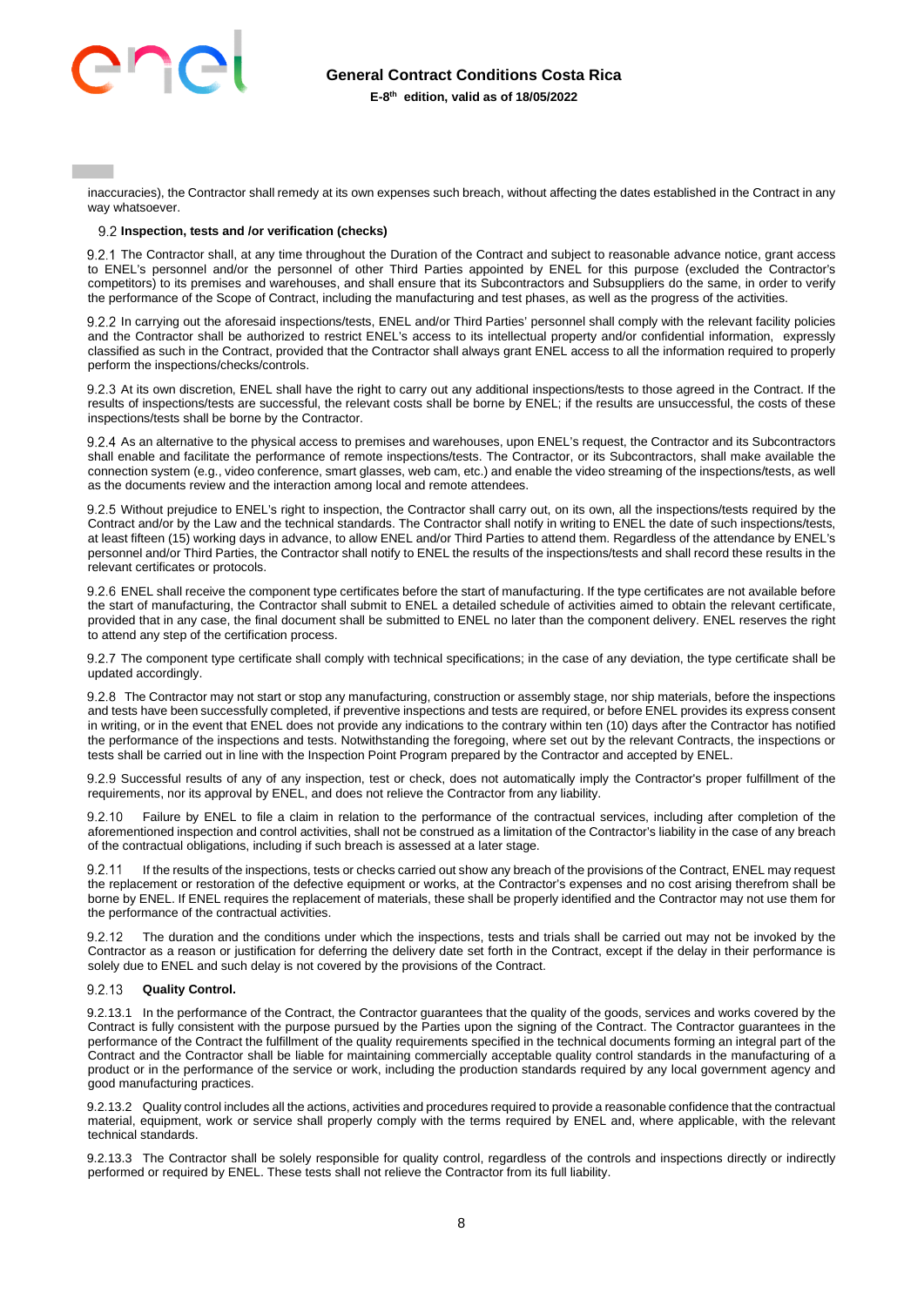# **General Contract Conditions Costa Rica**



**E-8th edition, valid as of 18/05/2022** 

inaccuracies), the Contractor shall remedy at its own expenses such breach, without affecting the dates established in the Contract in any way whatsoever.

## **Inspection, tests and /or verification (checks)**

9.2.1 The Contractor shall, at any time throughout the Duration of the Contract and subject to reasonable advance notice, grant access to ENEL's personnel and/or the personnel of other Third Parties appointed by ENEL for this purpose (excluded the Contractor's competitors) to its premises and warehouses, and shall ensure that its Subcontractors and Subsuppliers do the same, in order to verify the performance of the Scope of Contract, including the manufacturing and test phases, as well as the progress of the activities.

9.2.2 In carrying out the aforesaid inspections/tests, ENEL and/or Third Parties' personnel shall comply with the relevant facility policies and the Contractor shall be authorized to restrict ENEL's access to its intellectual property and/or confidential information, expressly classified as such in the Contract, provided that the Contractor shall always grant ENEL access to all the information required to properly perform the inspections/checks/controls.

9.2.3 At its own discretion, ENEL shall have the right to carry out any additional inspections/tests to those agreed in the Contract. If the results of inspections/tests are successful, the relevant costs shall be borne by ENEL; if the results are unsuccessful, the costs of these inspections/tests shall be borne by the Contractor.

 As an alternative to the physical access to premises and warehouses, upon ENEL's request, the Contractor and its Subcontractors shall enable and facilitate the performance of remote inspections/tests. The Contractor, or its Subcontractors, shall make available the connection system (e.g., video conference, smart glasses, web cam, etc.) and enable the video streaming of the inspections/tests, as well as the documents review and the interaction among local and remote attendees.

 Without prejudice to ENEL's right to inspection, the Contractor shall carry out, on its own, all the inspections/tests required by the Contract and/or by the Law and the technical standards. The Contractor shall notify in writing to ENEL the date of such inspections/tests, at least fifteen (15) working days in advance, to allow ENEL and/or Third Parties to attend them. Regardless of the attendance by ENEL's personnel and/or Third Parties, the Contractor shall notify to ENEL the results of the inspections/tests and shall record these results in the relevant certificates or protocols.

9.2.6 ENEL shall receive the component type certificates before the start of manufacturing. If the type certificates are not available before the start of manufacturing, the Contractor shall submit to ENEL a detailed schedule of activities aimed to obtain the relevant certificate, provided that in any case, the final document shall be submitted to ENEL no later than the component delivery. ENEL reserves the right to attend any step of the certification process.

9.2.7 The component type certificate shall comply with technical specifications; in the case of any deviation, the type certificate shall be updated accordingly.

9.2.8 The Contractor may not start or stop any manufacturing, construction or assembly stage, nor ship materials, before the inspections and tests have been successfully completed, if preventive inspections and tests are required, or before ENEL provides its express consent in writing, or in the event that ENEL does not provide any indications to the contrary within ten (10) days after the Contractor has notified the performance of the inspections and tests. Notwithstanding the foregoing, where set out by the relevant Contracts, the inspections or tests shall be carried out in line with the Inspection Point Program prepared by the Contractor and accepted by ENEL.

9.2.9 Successful results of any of any inspection, test or check, does not automatically imply the Contractor's proper fulfillment of the requirements, nor its approval by ENEL, and does not relieve the Contractor from any liability.

9.2.10 Failure by ENEL to file a claim in relation to the performance of the contractual services, including after completion of the aforementioned inspection and control activities, shall not be construed as a limitation of the Contractor's liability in the case of any breach of the contractual obligations, including if such breach is assessed at a later stage.

 If the results of the inspections, tests or checks carried out show any breach of the provisions of the Contract, ENEL may request the replacement or restoration of the defective equipment or works, at the Contractor's expenses and no cost arising therefrom shall be borne by ENEL. If ENEL requires the replacement of materials, these shall be properly identified and the Contractor may not use them for the performance of the contractual activities.

 The duration and the conditions under which the inspections, tests and trials shall be carried out may not be invoked by the Contractor as a reason or justification for deferring the delivery date set forth in the Contract, except if the delay in their performance is solely due to ENEL and such delay is not covered by the provisions of the Contract.

#### **Quality Control.**  9 2 13

9.2.13.1 In the performance of the Contract, the Contractor guarantees that the quality of the goods, services and works covered by the Contract is fully consistent with the purpose pursued by the Parties upon the signing of the Contract. The Contractor guarantees in the performance of the Contract the fulfillment of the quality requirements specified in the technical documents forming an integral part of the Contract and the Contractor shall be liable for maintaining commercially acceptable quality control standards in the manufacturing of a product or in the performance of the service or work, including the production standards required by any local government agency and good manufacturing practices.

9.2.13.2 Quality control includes all the actions, activities and procedures required to provide a reasonable confidence that the contractual material, equipment, work or service shall properly comply with the terms required by ENEL and, where applicable, with the relevant technical standards.

9.2.13.3 The Contractor shall be solely responsible for quality control, regardless of the controls and inspections directly or indirectly performed or required by ENEL. These tests shall not relieve the Contractor from its full liability.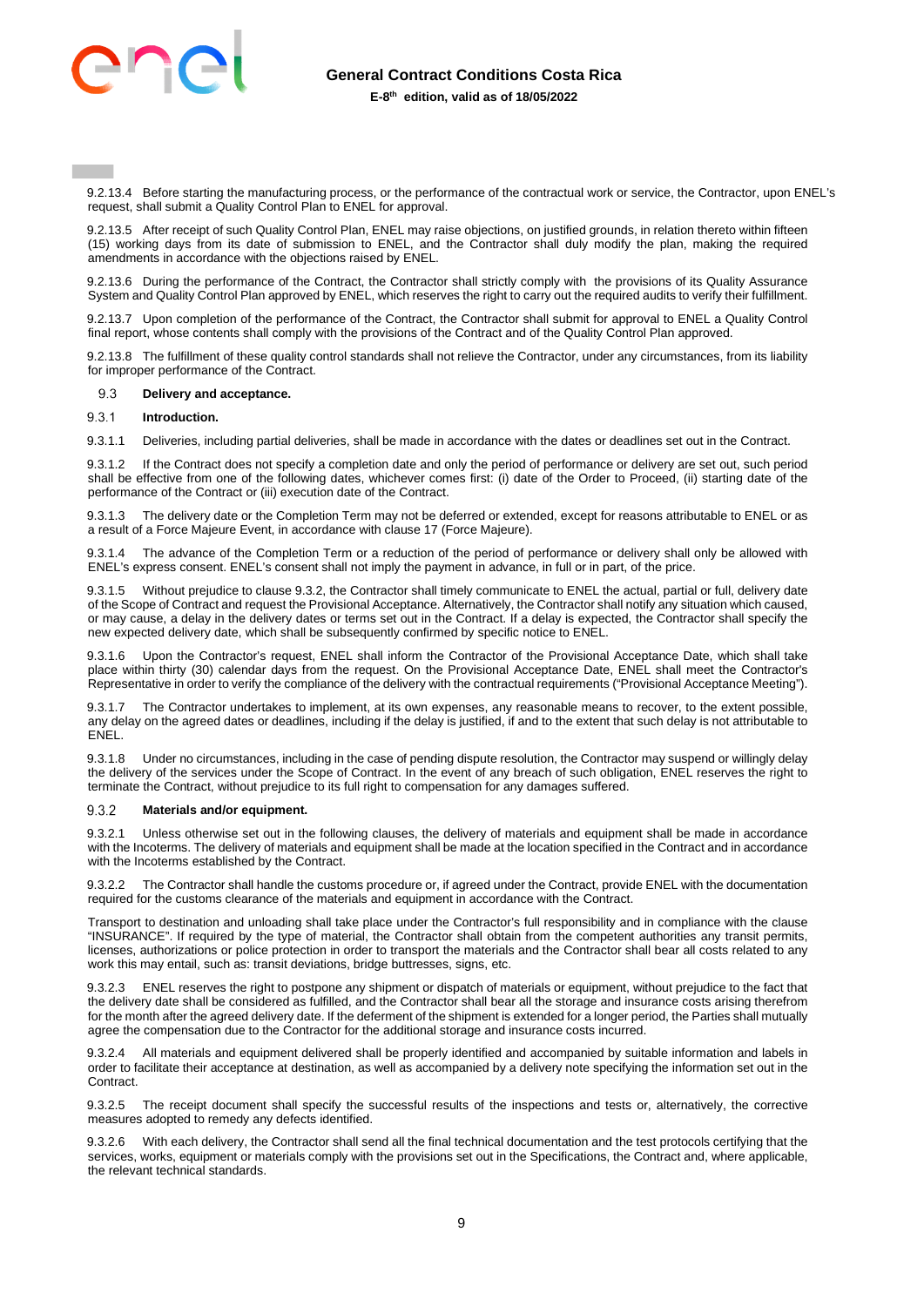

9.2.13.4 Before starting the manufacturing process, or the performance of the contractual work or service, the Contractor, upon ENEL's request, shall submit a Quality Control Plan to ENEL for approval.

9.2.13.5 After receipt of such Quality Control Plan, ENEL may raise objections, on justified grounds, in relation thereto within fifteen (15) working days from its date of submission to ENEL, and the Contractor shall duly modify the plan, making the required amendments in accordance with the objections raised by ENEL.

9.2.13.6 During the performance of the Contract, the Contractor shall strictly comply with the provisions of its Quality Assurance System and Quality Control Plan approved by ENEL, which reserves the right to carry out the required audits to verify their fulfillment.

9.2.13.7 Upon completion of the performance of the Contract, the Contractor shall submit for approval to ENEL a Quality Control final report, whose contents shall comply with the provisions of the Contract and of the Quality Control Plan approved.

9.2.13.8 The fulfillment of these quality control standards shall not relieve the Contractor, under any circumstances, from its liability for improper performance of the Contract.

#### $9.3$  **Delivery and acceptance.**

#### $9.3.1$ **Introduction.**

9.3.1.1 Deliveries, including partial deliveries, shall be made in accordance with the dates or deadlines set out in the Contract.

9.3.1.2 If the Contract does not specify a completion date and only the period of performance or delivery are set out, such period shall be effective from one of the following dates, whichever comes first: (i) date of the Order to Proceed, (ii) starting date of the performance of the Contract or (iii) execution date of the Contract.

9.3.1.3 The delivery date or the Completion Term may not be deferred or extended, except for reasons attributable to ENEL or as a result of a Force Majeure Event, in accordance with clause 17 (Force Majeure).

The advance of the Completion Term or a reduction of the period of performance or delivery shall only be allowed with ENEL's express consent. ENEL's consent shall not imply the payment in advance, in full or in part, of the price.

9.3.1.5 Without prejudice to clause 9.3.2, the Contractor shall timely communicate to ENEL the actual, partial or full, delivery date of the Scope of Contract and request the Provisional Acceptance. Alternatively, the Contractor shall notify any situation which caused, or may cause, a delay in the delivery dates or terms set out in the Contract. If a delay is expected, the Contractor shall specify the new expected delivery date, which shall be subsequently confirmed by specific notice to ENEL.

9.3.1.6 Upon the Contractor's request, ENEL shall inform the Contractor of the Provisional Acceptance Date, which shall take place within thirty (30) calendar days from the request. On the Provisional Acceptance Date, ENEL shall meet the Contractor's Representative in order to verify the compliance of the delivery with the contractual requirements ("Provisional Acceptance Meeting").

9.3.1.7 The Contractor undertakes to implement, at its own expenses, any reasonable means to recover, to the extent possible, any delay on the agreed dates or deadlines, including if the delay is justified, if and to the extent that such delay is not attributable to ENEL.

9.3.1.8 Under no circumstances, including in the case of pending dispute resolution, the Contractor may suspend or willingly delay the delivery of the services under the Scope of Contract. In the event of any breach of such obligation, ENEL reserves the right to terminate the Contract, without prejudice to its full right to compensation for any damages suffered.

#### 932 **Materials and/or equipment.**

9.3.2.1 Unless otherwise set out in the following clauses, the delivery of materials and equipment shall be made in accordance with the Incoterms. The delivery of materials and equipment shall be made at the location specified in the Contract and in accordance with the Incoterms established by the Contract.

9.3.2.2 The Contractor shall handle the customs procedure or, if agreed under the Contract, provide ENEL with the documentation required for the customs clearance of the materials and equipment in accordance with the Contract.

Transport to destination and unloading shall take place under the Contractor's full responsibility and in compliance with the clause "INSURANCE". If required by the type of material, the Contractor shall obtain from the competent authorities any transit permits, licenses, authorizations or police protection in order to transport the materials and the Contractor shall bear all costs related to any work this may entail, such as: transit deviations, bridge buttresses, signs, etc.

9.3.2.3 ENEL reserves the right to postpone any shipment or dispatch of materials or equipment, without prejudice to the fact that the delivery date shall be considered as fulfilled, and the Contractor shall bear all the storage and insurance costs arising therefrom for the month after the agreed delivery date. If the deferment of the shipment is extended for a longer period, the Parties shall mutually agree the compensation due to the Contractor for the additional storage and insurance costs incurred.

9.3.2.4 All materials and equipment delivered shall be properly identified and accompanied by suitable information and labels in order to facilitate their acceptance at destination, as well as accompanied by a delivery note specifying the information set out in the Contract.

9.3.2.5 The receipt document shall specify the successful results of the inspections and tests or, alternatively, the corrective measures adopted to remedy any defects identified.

9.3.2.6 With each delivery, the Contractor shall send all the final technical documentation and the test protocols certifying that the services, works, equipment or materials comply with the provisions set out in the Specifications, the Contract and, where applicable, the relevant technical standards.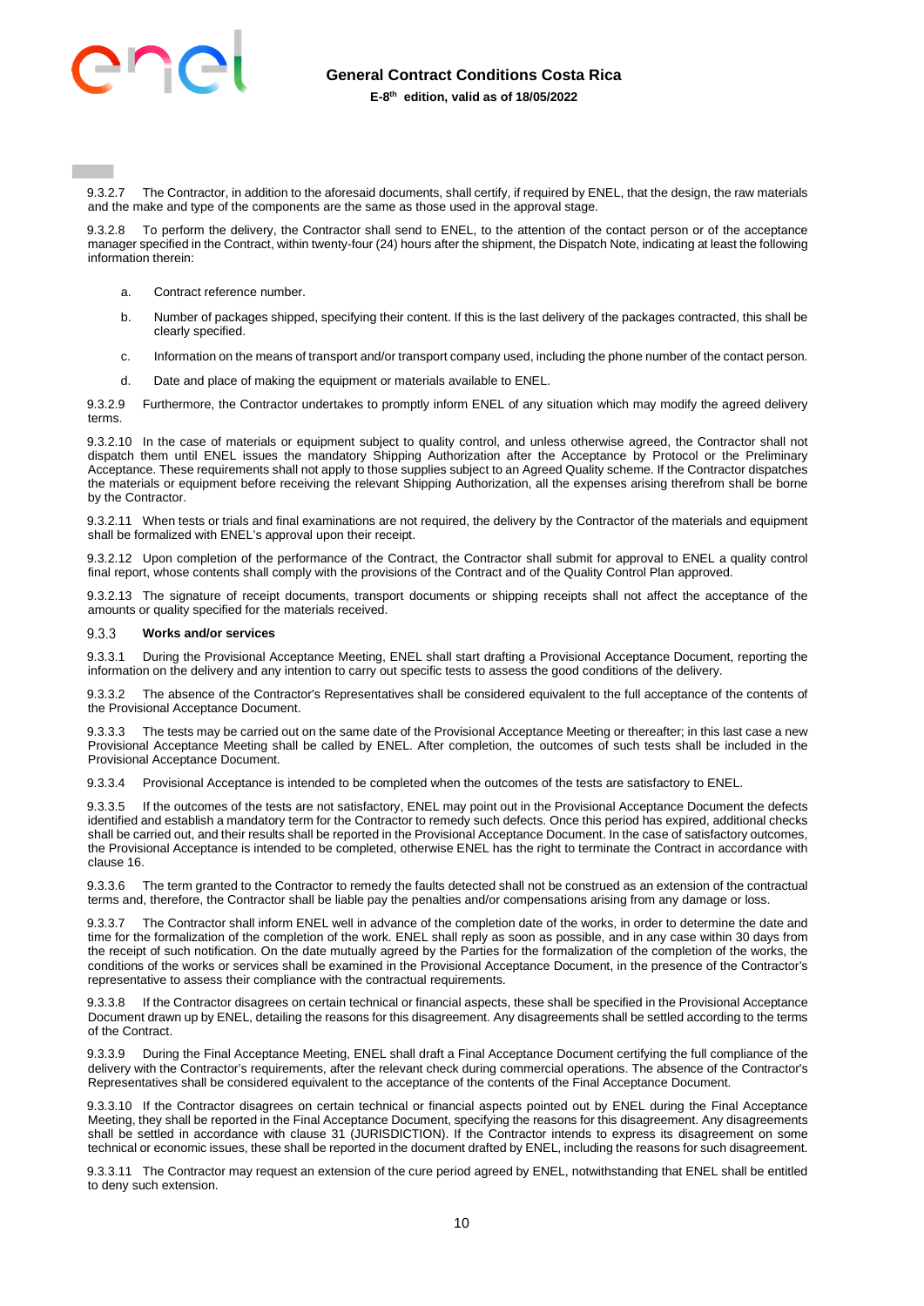

9.3.2.7 The Contractor, in addition to the aforesaid documents, shall certify, if required by ENEL, that the design, the raw materials and the make and type of the components are the same as those used in the approval stage.

To perform the delivery, the Contractor shall send to ENEL, to the attention of the contact person or of the acceptance manager specified in the Contract, within twenty-four (24) hours after the shipment, the Dispatch Note, indicating at least the following information therein:

- a. Contract reference number.
- b. Number of packages shipped, specifying their content. If this is the last delivery of the packages contracted, this shall be clearly specified.
- c. Information on the means of transport and/or transport company used, including the phone number of the contact person.
- d. Date and place of making the equipment or materials available to ENEL.

9.3.2.9 Furthermore, the Contractor undertakes to promptly inform ENEL of any situation which may modify the agreed delivery terms.

9.3.2.10 In the case of materials or equipment subject to quality control, and unless otherwise agreed, the Contractor shall not dispatch them until ENEL issues the mandatory Shipping Authorization after the Acceptance by Protocol or the Preliminary Acceptance. These requirements shall not apply to those supplies subject to an Agreed Quality scheme. If the Contractor dispatches the materials or equipment before receiving the relevant Shipping Authorization, all the expenses arising therefrom shall be borne by the Contractor.

9.3.2.11 When tests or trials and final examinations are not required, the delivery by the Contractor of the materials and equipment shall be formalized with ENEL's approval upon their receipt.

9.3.2.12 Upon completion of the performance of the Contract, the Contractor shall submit for approval to ENEL a quality control final report, whose contents shall comply with the provisions of the Contract and of the Quality Control Plan approved.

9.3.2.13 The signature of receipt documents, transport documents or shipping receipts shall not affect the acceptance of the amounts or quality specified for the materials received.

#### 933 **Works and/or services**

9.3.3.1 During the Provisional Acceptance Meeting, ENEL shall start drafting a Provisional Acceptance Document, reporting the information on the delivery and any intention to carry out specific tests to assess the good conditions of the delivery.

9.3.3.2 The absence of the Contractor's Representatives shall be considered equivalent to the full acceptance of the contents of the Provisional Acceptance Document.

9.3.3.3 The tests may be carried out on the same date of the Provisional Acceptance Meeting or thereafter; in this last case a new Provisional Acceptance Meeting shall be called by ENEL. After completion, the outcomes of such tests shall be included in the Provisional Acceptance Document.

9.3.3.4 Provisional Acceptance is intended to be completed when the outcomes of the tests are satisfactory to ENEL.

9.3.3.5 If the outcomes of the tests are not satisfactory, ENEL may point out in the Provisional Acceptance Document the defects identified and establish a mandatory term for the Contractor to remedy such defects. Once this period has expired, additional checks shall be carried out, and their results shall be reported in the Provisional Acceptance Document. In the case of satisfactory outcomes, the Provisional Acceptance is intended to be completed, otherwise ENEL has the right to terminate the Contract in accordance with clause 16.

9.3.3.6 The term granted to the Contractor to remedy the faults detected shall not be construed as an extension of the contractual terms and, therefore, the Contractor shall be liable pay the penalties and/or compensations arising from any damage or loss.

9.3.3.7 The Contractor shall inform ENEL well in advance of the completion date of the works, in order to determine the date and time for the formalization of the completion of the work. ENEL shall reply as soon as possible, and in any case within 30 days from the receipt of such notification. On the date mutually agreed by the Parties for the formalization of the completion of the works, the conditions of the works or services shall be examined in the Provisional Acceptance Document, in the presence of the Contractor's representative to assess their compliance with the contractual requirements.

9.3.3.8 If the Contractor disagrees on certain technical or financial aspects, these shall be specified in the Provisional Acceptance Document drawn up by ENEL, detailing the reasons for this disagreement. Any disagreements shall be settled according to the terms of the Contract.

9.3.3.9 During the Final Acceptance Meeting, ENEL shall draft a Final Acceptance Document certifying the full compliance of the delivery with the Contractor's requirements, after the relevant check during commercial operations. The absence of the Contractor's Representatives shall be considered equivalent to the acceptance of the contents of the Final Acceptance Document.

9.3.3.10 If the Contractor disagrees on certain technical or financial aspects pointed out by ENEL during the Final Acceptance Meeting, they shall be reported in the Final Acceptance Document, specifying the reasons for this disagreement. Any disagreements shall be settled in accordance with clause 31 (JURISDICTION). If the Contractor intends to express its disagreement on some technical or economic issues, these shall be reported in the document drafted by ENEL, including the reasons for such disagreement.

9.3.3.11 The Contractor may request an extension of the cure period agreed by ENEL, notwithstanding that ENEL shall be entitled to deny such extension.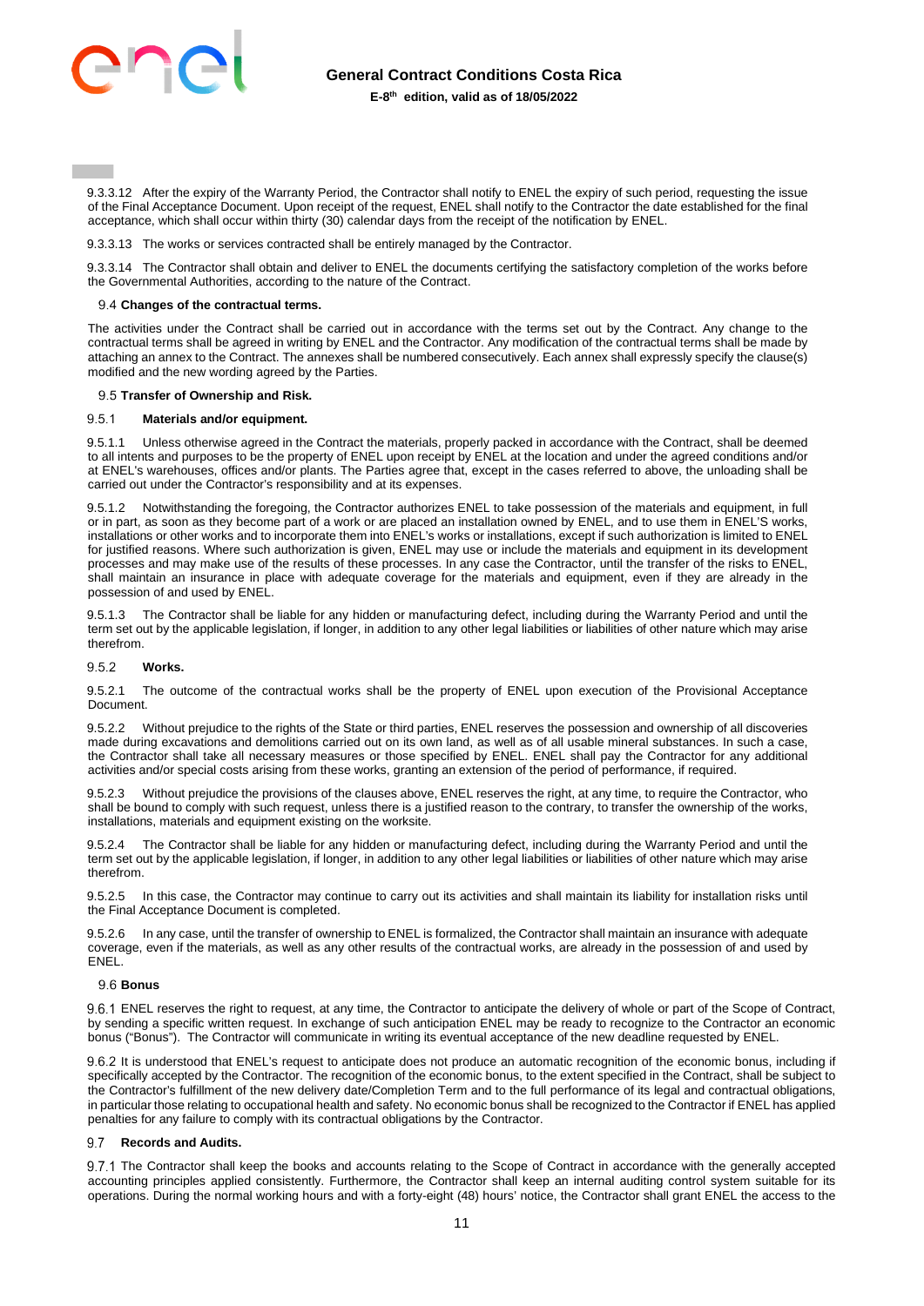

9.3.3.12 After the expiry of the Warranty Period, the Contractor shall notify to ENEL the expiry of such period, requesting the issue of the Final Acceptance Document. Upon receipt of the request, ENEL shall notify to the Contractor the date established for the final acceptance, which shall occur within thirty (30) calendar days from the receipt of the notification by ENEL.

9.3.3.13 The works or services contracted shall be entirely managed by the Contractor.

9.3.3.14 The Contractor shall obtain and deliver to ENEL the documents certifying the satisfactory completion of the works before the Governmental Authorities, according to the nature of the Contract.

### <span id="page-10-0"></span>**Changes of the contractual terms.**

The activities under the Contract shall be carried out in accordance with the terms set out by the Contract. Any change to the contractual terms shall be agreed in writing by ENEL and the Contractor. Any modification of the contractual terms shall be made by attaching an annex to the Contract. The annexes shall be numbered consecutively. Each annex shall expressly specify the clause(s) modified and the new wording agreed by the Parties.

### 9.5 Transfer of Ownership and Risk.

#### 9.5.1 **Materials and/or equipment.**

9.5.1.1 Unless otherwise agreed in the Contract the materials, properly packed in accordance with the Contract, shall be deemed to all intents and purposes to be the property of ENEL upon receipt by ENEL at the location and under the agreed conditions and/or at ENEL's warehouses, offices and/or plants. The Parties agree that, except in the cases referred to above, the unloading shall be carried out under the Contractor's responsibility and at its expenses.

9.5.1.2 Notwithstanding the foregoing, the Contractor authorizes ENEL to take possession of the materials and equipment, in full or in part, as soon as they become part of a work or are placed an installation owned by ENEL, and to use them in ENEL'S works, installations or other works and to incorporate them into ENEL's works or installations, except if such authorization is limited to ENEL for justified reasons. Where such authorization is given, ENEL may use or include the materials and equipment in its development processes and may make use of the results of these processes. In any case the Contractor, until the transfer of the risks to ENEL, shall maintain an insurance in place with adequate coverage for the materials and equipment, even if they are already in the possession of and used by ENEL.

9.5.1.3 The Contractor shall be liable for any hidden or manufacturing defect, including during the Warranty Period and until the term set out by the applicable legislation, if longer, in addition to any other legal liabilities or liabilities of other nature which may arise therefrom.

#### 952 **Works.**

9.5.2.1 The outcome of the contractual works shall be the property of ENEL upon execution of the Provisional Acceptance Document.

9.5.2.2 Without prejudice to the rights of the State or third parties, ENEL reserves the possession and ownership of all discoveries made during excavations and demolitions carried out on its own land, as well as of all usable mineral substances. In such a case, the Contractor shall take all necessary measures or those specified by ENEL. ENEL shall pay the Contractor for any additional activities and/or special costs arising from these works, granting an extension of the period of performance, if required.

9.5.2.3 Without prejudice the provisions of the clauses above, ENEL reserves the right, at any time, to require the Contractor, who shall be bound to comply with such request, unless there is a justified reason to the contrary, to transfer the ownership of the works, installations, materials and equipment existing on the worksite.

9.5.2.4 The Contractor shall be liable for any hidden or manufacturing defect, including during the Warranty Period and until the term set out by the applicable legislation, if longer, in addition to any other legal liabilities or liabilities of other nature which may arise therefrom.

9.5.2.5 In this case, the Contractor may continue to carry out its activities and shall maintain its liability for installation risks until the Final Acceptance Document is completed.

9.5.2.6 In any case, until the transfer of ownership to ENEL is formalized, the Contractor shall maintain an insurance with adequate coverage, even if the materials, as well as any other results of the contractual works, are already in the possession of and used by ENEL.

### **Bonus**

9.6.1 ENEL reserves the right to request, at any time, the Contractor to anticipate the delivery of whole or part of the Scope of Contract, by sending a specific written request. In exchange of such anticipation ENEL may be ready to recognize to the Contractor an economic bonus ("Bonus"). The Contractor will communicate in writing its eventual acceptance of the new deadline requested by ENEL.

9.6.2 It is understood that ENEL's request to anticipate does not produce an automatic recognition of the economic bonus, including if specifically accepted by the Contractor. The recognition of the economic bonus, to the extent specified in the Contract, shall be subject to the Contractor's fulfillment of the new delivery date/Completion Term and to the full performance of its legal and contractual obligations, in particular those relating to occupational health and safety. No economic bonus shall be recognized to the Contractor if ENEL has applied penalties for any failure to comply with its contractual obligations by the Contractor.

#### 9.7 **Records and Audits.**

9.7.1 The Contractor shall keep the books and accounts relating to the Scope of Contract in accordance with the generally accepted accounting principles applied consistently. Furthermore, the Contractor shall keep an internal auditing control system suitable for its operations. During the normal working hours and with a forty-eight (48) hours' notice, the Contractor shall grant ENEL the access to the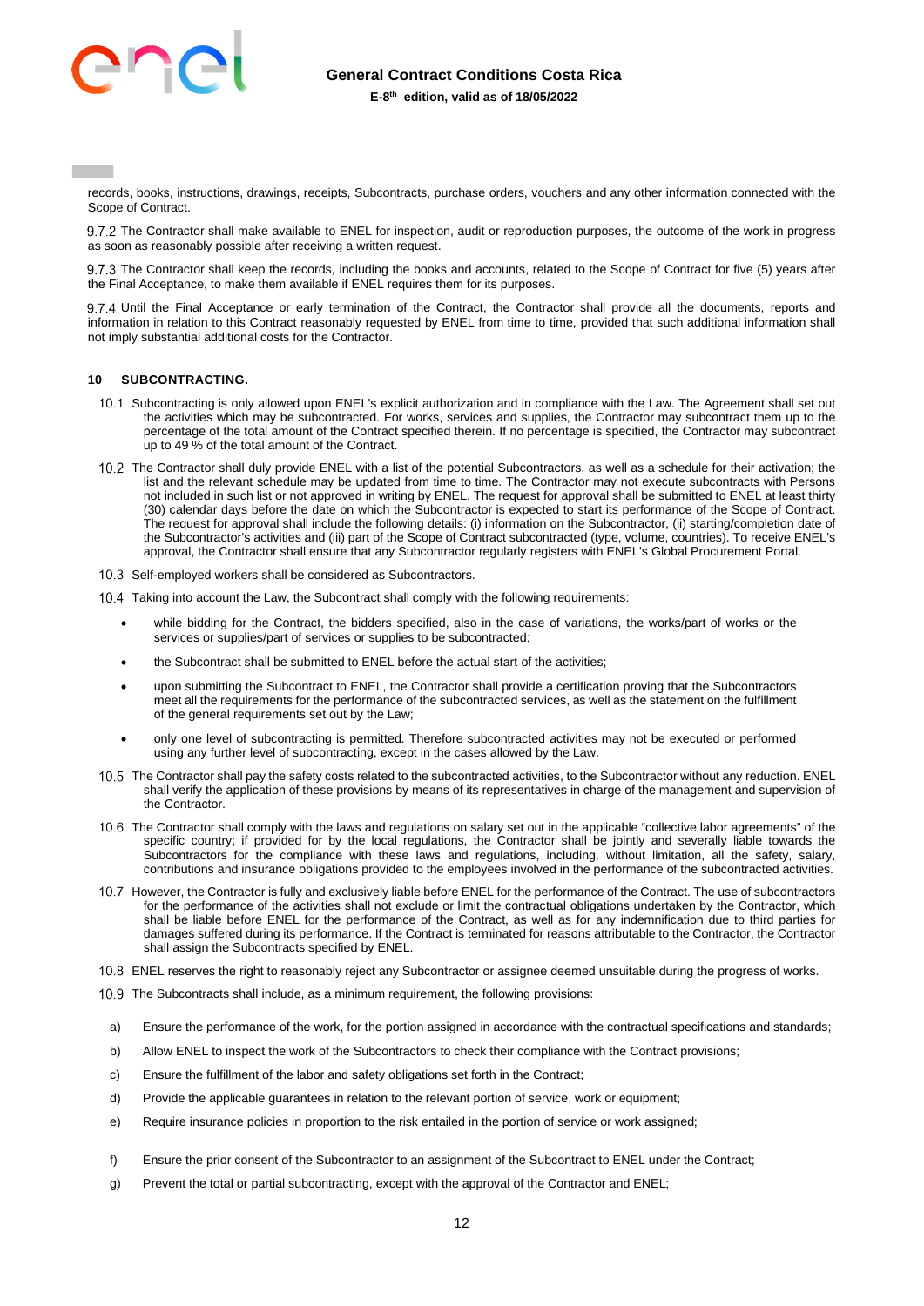

records, books, instructions, drawings, receipts, Subcontracts, purchase orders, vouchers and any other information connected with the Scope of Contract.

9.7.2 The Contractor shall make available to ENEL for inspection, audit or reproduction purposes, the outcome of the work in progress as soon as reasonably possible after receiving a written request.

9.7.3 The Contractor shall keep the records, including the books and accounts, related to the Scope of Contract for five (5) years after the Final Acceptance, to make them available if ENEL requires them for its purposes.

 Until the Final Acceptance or early termination of the Contract, the Contractor shall provide all the documents, reports and information in relation to this Contract reasonably requested by ENEL from time to time, provided that such additional information shall not imply substantial additional costs for the Contractor.

# <span id="page-11-0"></span>**10 SUBCONTRACTING.**

- 10.1 Subcontracting is only allowed upon ENEL's explicit authorization and in compliance with the Law. The Agreement shall set out the activities which may be subcontracted. For works, services and supplies, the Contractor may subcontract them up to the percentage of the total amount of the Contract specified therein. If no percentage is specified, the Contractor may subcontract up to 49 % of the total amount of the Contract.
- 10.2 The Contractor shall duly provide ENEL with a list of the potential Subcontractors, as well as a schedule for their activation; the list and the relevant schedule may be updated from time to time. The Contractor may not execute subcontracts with Persons not included in such list or not approved in writing by ENEL. The request for approval shall be submitted to ENEL at least thirty (30) calendar days before the date on which the Subcontractor is expected to start its performance of the Scope of Contract. The request for approval shall include the following details: (i) information on the Subcontractor, (ii) starting/completion date of the Subcontractor's activities and (iii) part of the Scope of Contract subcontracted (type, volume, countries). To receive ENEL's approval, the Contractor shall ensure that any Subcontractor regularly registers with ENEL's Global Procurement Portal.
- 10.3 Self-employed workers shall be considered as Subcontractors.

10.4 Taking into account the Law, the Subcontract shall comply with the following requirements:

- while bidding for the Contract, the bidders specified, also in the case of variations, the works/part of works or the services or supplies/part of services or supplies to be subcontracted;
- the Subcontract shall be submitted to ENEL before the actual start of the activities;
- upon submitting the Subcontract to ENEL, the Contractor shall provide a certification proving that the Subcontractors meet all the requirements for the performance of the subcontracted services, as well as the statement on the fulfillment of the general requirements set out by the Law;
- only one level of subcontracting is permitted. Therefore subcontracted activities may not be executed or performed using any further level of subcontracting, except in the cases allowed by the Law.
- 10.5 The Contractor shall pay the safety costs related to the subcontracted activities, to the Subcontractor without any reduction. ENEL shall verify the application of these provisions by means of its representatives in charge of the management and supervision of the Contractor.
- The Contractor shall comply with the laws and regulations on salary set out in the applicable "collective labor agreements" of the specific country; if provided for by the local regulations, the Contractor shall be jointly and severally liable towards the Subcontractors for the compliance with these laws and regulations, including, without limitation, all the safety, salary, contributions and insurance obligations provided to the employees involved in the performance of the subcontracted activities.
- 10.7 However, the Contractor is fully and exclusively liable before ENEL for the performance of the Contract. The use of subcontractors for the performance of the activities shall not exclude or limit the contractual obligations undertaken by the Contractor, which shall be liable before ENEL for the performance of the Contract, as well as for any indemnification due to third parties for damages suffered during its performance. If the Contract is terminated for reasons attributable to the Contractor, the Contractor shall assign the Subcontracts specified by ENEL.
- ENEL reserves the right to reasonably reject any Subcontractor or assignee deemed unsuitable during the progress of works.
- 10.9 The Subcontracts shall include, as a minimum requirement, the following provisions:
- a) Ensure the performance of the work, for the portion assigned in accordance with the contractual specifications and standards;
- b) Allow ENEL to inspect the work of the Subcontractors to check their compliance with the Contract provisions;
- c) Ensure the fulfillment of the labor and safety obligations set forth in the Contract;
- d) Provide the applicable guarantees in relation to the relevant portion of service, work or equipment;
- e) Require insurance policies in proportion to the risk entailed in the portion of service or work assigned;
- f) Ensure the prior consent of the Subcontractor to an assignment of the Subcontract to ENEL under the Contract;
- g) Prevent the total or partial subcontracting, except with the approval of the Contractor and ENEL;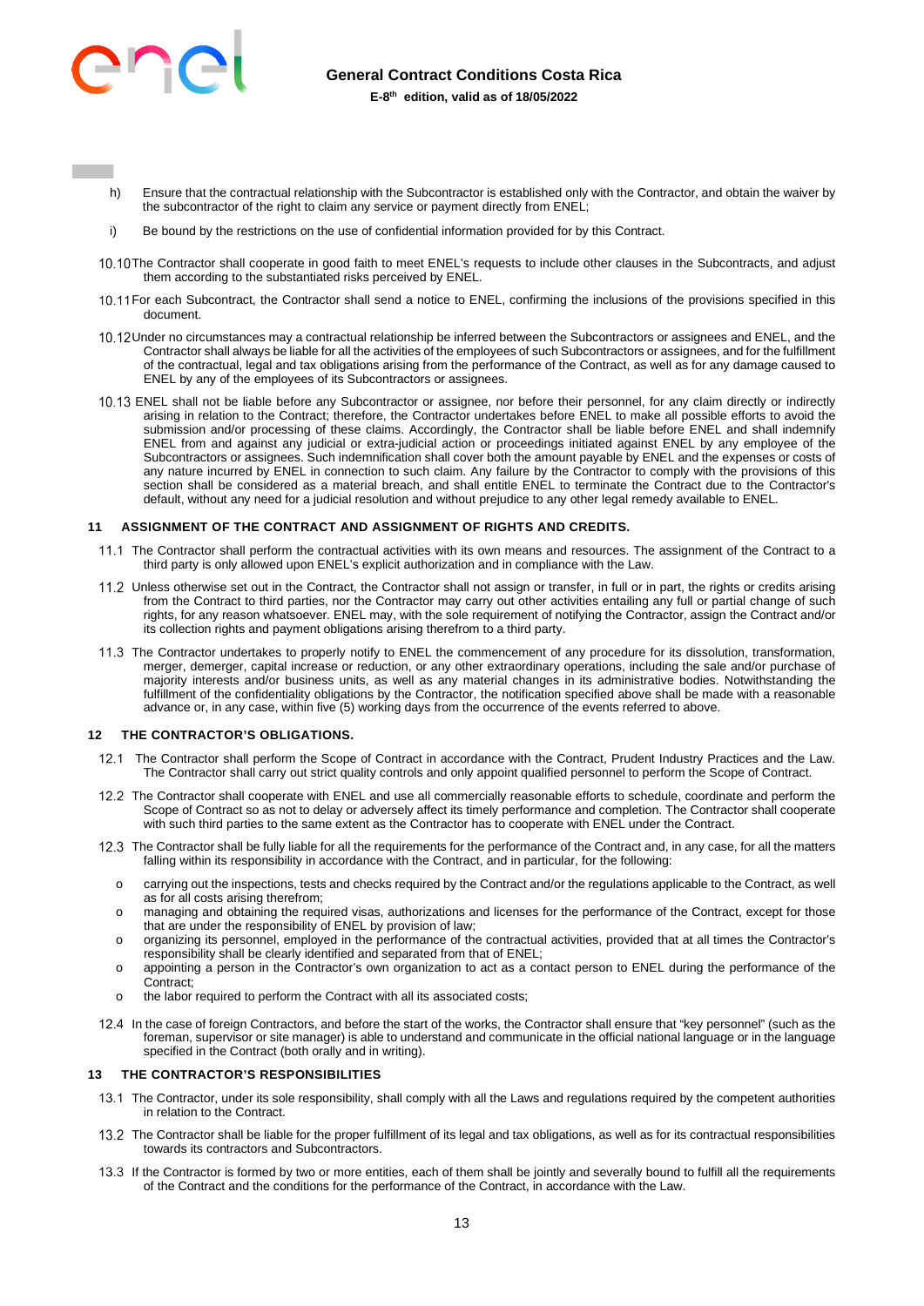

- h) Ensure that the contractual relationship with the Subcontractor is established only with the Contractor, and obtain the waiver by the subcontractor of the right to claim any service or payment directly from ENEL;
- i) Be bound by the restrictions on the use of confidential information provided for by this Contract.
- 10.10 The Contractor shall cooperate in good faith to meet ENEL's requests to include other clauses in the Subcontracts, and adjust them according to the substantiated risks perceived by ENEL.
- 10.11 For each Subcontract, the Contractor shall send a notice to ENEL, confirming the inclusions of the provisions specified in this document.
- 10.12 Under no circumstances may a contractual relationship be inferred between the Subcontractors or assignees and ENEL, and the Contractor shall always be liable for all the activities of the employees of such Subcontractors or assignees, and for the fulfillment of the contractual, legal and tax obligations arising from the performance of the Contract, as well as for any damage caused to ENEL by any of the employees of its Subcontractors or assignees.
- 10.13 ENEL shall not be liable before any Subcontractor or assignee, nor before their personnel, for any claim directly or indirectly arising in relation to the Contract; therefore, the Contractor undertakes before ENEL to make all possible efforts to avoid the submission and/or processing of these claims. Accordingly, the Contractor shall be liable before ENEL and shall indemnify ENEL from and against any judicial or extra-judicial action or proceedings initiated against ENEL by any employee of the Subcontractors or assignees. Such indemnification shall cover both the amount payable by ENEL and the expenses or costs of any nature incurred by ENEL in connection to such claim. Any failure by the Contractor to comply with the provisions of this section shall be considered as a material breach, and shall entitle ENEL to terminate the Contract due to the Contractor's default, without any need for a judicial resolution and without prejudice to any other legal remedy available to ENEL.

### <span id="page-12-0"></span>**11 ASSIGNMENT OF THE CONTRACT AND ASSIGNMENT OF RIGHTS AND CREDITS.**

- 11.1 The Contractor shall perform the contractual activities with its own means and resources. The assignment of the Contract to a third party is only allowed upon ENEL's explicit authorization and in compliance with the Law.
- 11.2 Unless otherwise set out in the Contract, the Contractor shall not assign or transfer, in full or in part, the rights or credits arising from the Contract to third parties, nor the Contractor may carry out other activities entailing any full or partial change of such rights, for any reason whatsoever. ENEL may, with the sole requirement of notifying the Contractor, assign the Contract and/or its collection rights and payment obligations arising therefrom to a third party.
- 11.3 The Contractor undertakes to properly notify to ENEL the commencement of any procedure for its dissolution, transformation, merger, demerger, capital increase or reduction, or any other extraordinary operations, including the sale and/or purchase of majority interests and/or business units, as well as any material changes in its administrative bodies. Notwithstanding the fulfillment of the confidentiality obligations by the Contractor, the notification specified above shall be made with a reasonable advance or, in any case, within five (5) working days from the occurrence of the events referred to above.

### <span id="page-12-1"></span>**12 THE CONTRACTOR'S OBLIGATIONS.**

- 12.1 The Contractor shall perform the Scope of Contract in accordance with the Contract, Prudent Industry Practices and the Law. The Contractor shall carry out strict quality controls and only appoint qualified personnel to perform the Scope of Contract.
- 12.2 The Contractor shall cooperate with ENEL and use all commercially reasonable efforts to schedule, coordinate and perform the Scope of Contract so as not to delay or adversely affect its timely performance and completion. The Contractor shall cooperate with such third parties to the same extent as the Contractor has to cooperate with ENEL under the Contract.
- 12.3 The Contractor shall be fully liable for all the requirements for the performance of the Contract and, in any case, for all the matters falling within its responsibility in accordance with the Contract, and in particular, for the following:
	- o carrying out the inspections, tests and checks required by the Contract and/or the regulations applicable to the Contract, as well as for all costs arising therefrom;
	- o managing and obtaining the required visas, authorizations and licenses for the performance of the Contract, except for those that are under the responsibility of ENEL by provision of law;
	- o organizing its personnel, employed in the performance of the contractual activities, provided that at all times the Contractor's responsibility shall be clearly identified and separated from that of ENEL;
	- o appointing a person in the Contractor's own organization to act as a contact person to ENEL during the performance of the Contract:
	- o the labor required to perform the Contract with all its associated costs;
- 12.4 In the case of foreign Contractors, and before the start of the works, the Contractor shall ensure that "key personnel" (such as the foreman, supervisor or site manager) is able to understand and communicate in the official national language or in the language specified in the Contract (both orally and in writing).

## <span id="page-12-2"></span>**13 THE CONTRACTOR'S RESPONSIBILITIES**

- 13.1 The Contractor, under its sole responsibility, shall comply with all the Laws and regulations required by the competent authorities in relation to the Contract.
- 13.2 The Contractor shall be liable for the proper fulfillment of its legal and tax obligations, as well as for its contractual responsibilities towards its contractors and Subcontractors.
- If the Contractor is formed by two or more entities, each of them shall be jointly and severally bound to fulfill all the requirements of the Contract and the conditions for the performance of the Contract, in accordance with the Law.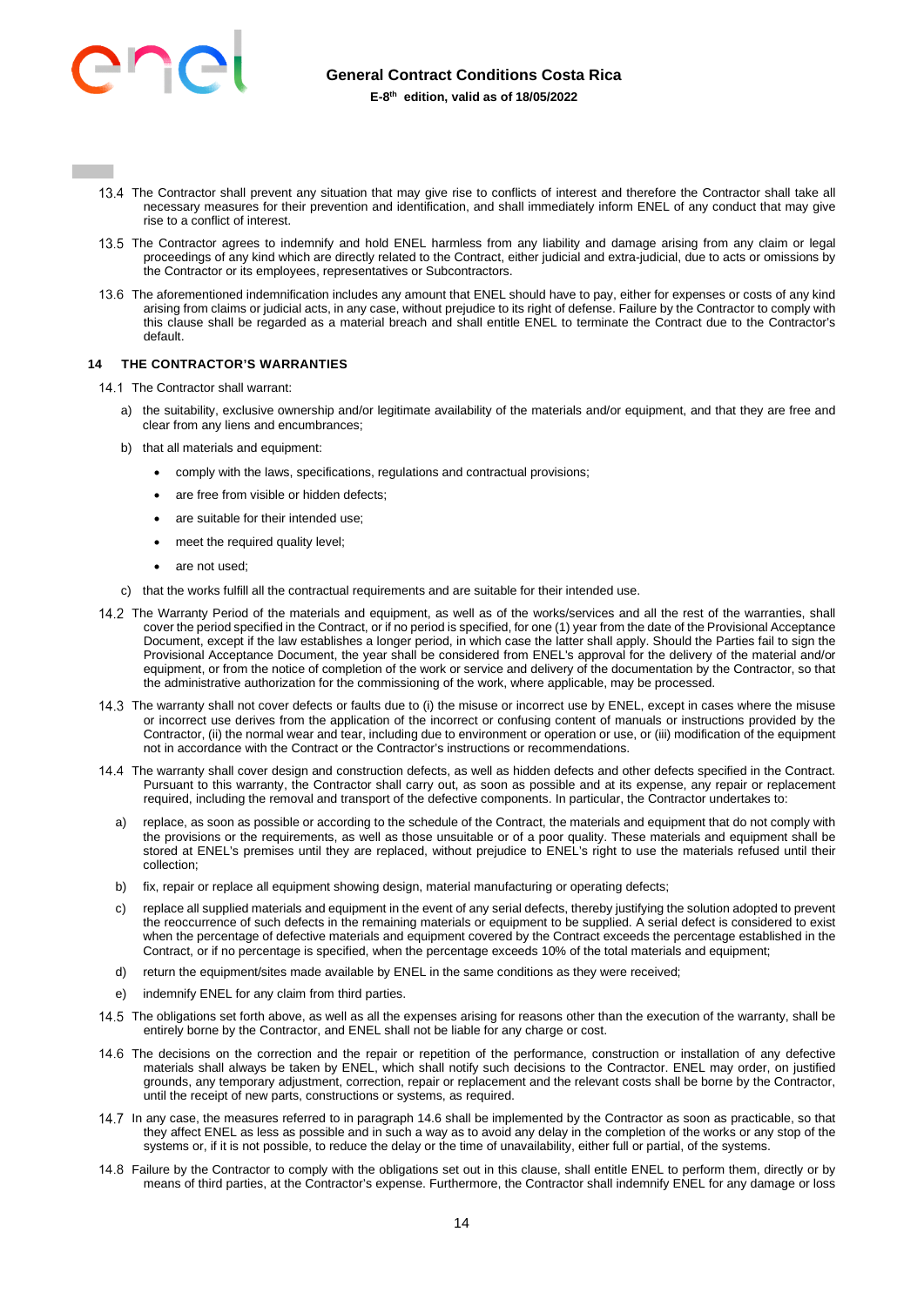

- 13.4 The Contractor shall prevent any situation that may give rise to conflicts of interest and therefore the Contractor shall take all necessary measures for their prevention and identification, and shall immediately inform ENEL of any conduct that may give rise to a conflict of interest.
- 13.5 The Contractor agrees to indemnify and hold ENEL harmless from any liability and damage arising from any claim or legal proceedings of any kind which are directly related to the Contract, either judicial and extra-judicial, due to acts or omissions by the Contractor or its employees, representatives or Subcontractors.
- 13.6 The aforementioned indemnification includes any amount that ENEL should have to pay, either for expenses or costs of any kind arising from claims or judicial acts, in any case, without prejudice to its right of defense. Failure by the Contractor to comply with this clause shall be regarded as a material breach and shall entitle ENEL to terminate the Contract due to the Contractor's default.

# <span id="page-13-0"></span>**14 THE CONTRACTOR'S WARRANTIES**

- 14.1 The Contractor shall warrant:
	- a) the suitability, exclusive ownership and/or legitimate availability of the materials and/or equipment, and that they are free and clear from any liens and encumbrances;
	- b) that all materials and equipment:
		- comply with the laws, specifications, regulations and contractual provisions;
		- are free from visible or hidden defects;
		- are suitable for their intended use;
		- meet the required quality level;
		- are not used;
	- c) that the works fulfill all the contractual requirements and are suitable for their intended use.
- 14.2 The Warranty Period of the materials and equipment, as well as of the works/services and all the rest of the warranties, shall cover the period specified in the Contract, or if no period is specified, for one (1) year from the date of the Provisional Acceptance Document, except if the law establishes a longer period, in which case the latter shall apply. Should the Parties fail to sign the Provisional Acceptance Document, the year shall be considered from ENEL's approval for the delivery of the material and/or equipment, or from the notice of completion of the work or service and delivery of the documentation by the Contractor, so that the administrative authorization for the commissioning of the work, where applicable, may be processed.
- 14.3 The warranty shall not cover defects or faults due to (i) the misuse or incorrect use by ENEL, except in cases where the misuse or incorrect use derives from the application of the incorrect or confusing content of manuals or instructions provided by the Contractor, (ii) the normal wear and tear, including due to environment or operation or use, or (iii) modification of the equipment not in accordance with the Contract or the Contractor's instructions or recommendations.
- The warranty shall cover design and construction defects, as well as hidden defects and other defects specified in the Contract. Pursuant to this warranty, the Contractor shall carry out, as soon as possible and at its expense, any repair or replacement required, including the removal and transport of the defective components. In particular, the Contractor undertakes to:
	- a) replace, as soon as possible or according to the schedule of the Contract, the materials and equipment that do not comply with the provisions or the requirements, as well as those unsuitable or of a poor quality. These materials and equipment shall be stored at ENEL's premises until they are replaced, without prejudice to ENEL's right to use the materials refused until their collection;
	- b) fix, repair or replace all equipment showing design, material manufacturing or operating defects;
	- c) replace all supplied materials and equipment in the event of any serial defects, thereby justifying the solution adopted to prevent the reoccurrence of such defects in the remaining materials or equipment to be supplied. A serial defect is considered to exist when the percentage of defective materials and equipment covered by the Contract exceeds the percentage established in the Contract, or if no percentage is specified, when the percentage exceeds 10% of the total materials and equipment;
	- d) return the equipment/sites made available by ENEL in the same conditions as they were received;
	- e) indemnify ENEL for any claim from third parties.
- 14.5 The obligations set forth above, as well as all the expenses arising for reasons other than the execution of the warranty, shall be entirely borne by the Contractor, and ENEL shall not be liable for any charge or cost.
- 14.6 The decisions on the correction and the repair or repetition of the performance, construction or installation of any defective materials shall always be taken by ENEL, which shall notify such decisions to the Contractor. ENEL may order, on justified grounds, any temporary adjustment, correction, repair or replacement and the relevant costs shall be borne by the Contractor, until the receipt of new parts, constructions or systems, as required.
- 14.7 In any case, the measures referred to in paragraph 14.6 shall be implemented by the Contractor as soon as practicable, so that they affect ENEL as less as possible and in such a way as to avoid any delay in the completion of the works or any stop of the systems or, if it is not possible, to reduce the delay or the time of unavailability, either full or partial, of the systems.
- 14.8 Failure by the Contractor to comply with the obligations set out in this clause, shall entitle ENEL to perform them, directly or by means of third parties, at the Contractor's expense. Furthermore, the Contractor shall indemnify ENEL for any damage or loss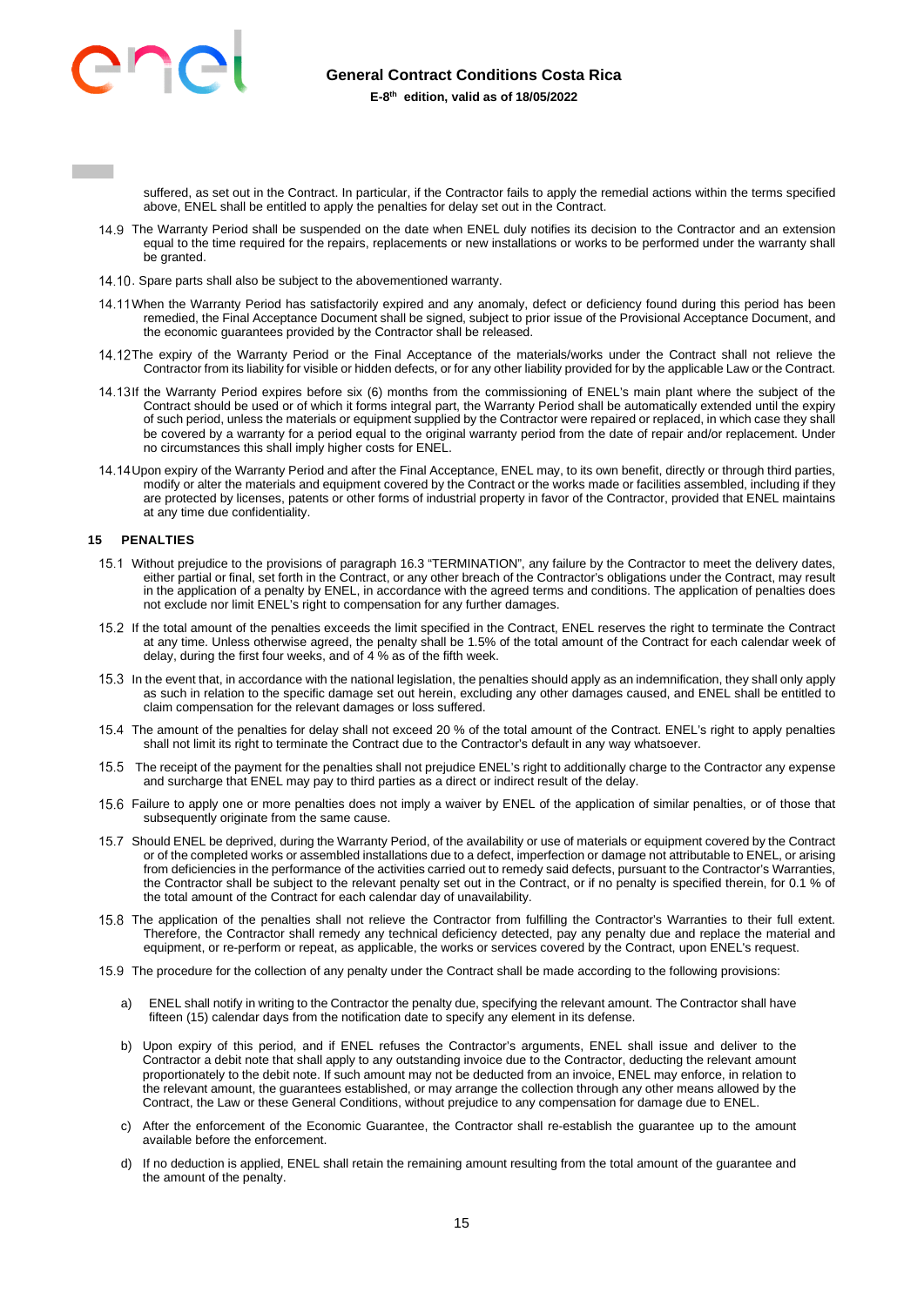

suffered, as set out in the Contract. In particular, if the Contractor fails to apply the remedial actions within the terms specified above, ENEL shall be entitled to apply the penalties for delay set out in the Contract.

- 14.9 The Warranty Period shall be suspended on the date when ENEL duly notifies its decision to the Contractor and an extension equal to the time required for the repairs, replacements or new installations or works to be performed under the warranty shall be granted.
- 14.10. Spare parts shall also be subject to the abovementioned warranty.
- 14.11 When the Warranty Period has satisfactorily expired and any anomaly, defect or deficiency found during this period has been remedied, the Final Acceptance Document shall be signed, subject to prior issue of the Provisional Acceptance Document, and the economic guarantees provided by the Contractor shall be released.
- 14.12The expiry of the Warranty Period or the Final Acceptance of the materials/works under the Contract shall not relieve the Contractor from its liability for visible or hidden defects, or for any other liability provided for by the applicable Law or the Contract.
- 14.13If the Warranty Period expires before six (6) months from the commissioning of ENEL's main plant where the subject of the Contract should be used or of which it forms integral part, the Warranty Period shall be automatically extended until the expiry of such period, unless the materials or equipment supplied by the Contractor were repaired or replaced, in which case they shall be covered by a warranty for a period equal to the original warranty period from the date of repair and/or replacement. Under no circumstances this shall imply higher costs for ENEL.
- 14.14 Upon expiry of the Warranty Period and after the Final Acceptance, ENEL may, to its own benefit, directly or through third parties, modify or alter the materials and equipment covered by the Contract or the works made or facilities assembled, including if they are protected by licenses, patents or other forms of industrial property in favor of the Contractor, provided that ENEL maintains at any time due confidentiality.

### <span id="page-14-0"></span>**15 PENALTIES**

- 15.1 Without prejudice to the provisions of paragraph 16.3 "TERMINATION", any failure by the Contractor to meet the delivery dates, either partial or final, set forth in the Contract, or any other breach of the Contractor's obligations under the Contract, may result in the application of a penalty by ENEL, in accordance with the agreed terms and conditions. The application of penalties does not exclude nor limit ENEL's right to compensation for any further damages.
- If the total amount of the penalties exceeds the limit specified in the Contract, ENEL reserves the right to terminate the Contract at any time. Unless otherwise agreed, the penalty shall be 1.5% of the total amount of the Contract for each calendar week of delay, during the first four weeks, and of 4 % as of the fifth week.
- 15.3 In the event that, in accordance with the national legislation, the penalties should apply as an indemnification, they shall only apply as such in relation to the specific damage set out herein, excluding any other damages caused, and ENEL shall be entitled to claim compensation for the relevant damages or loss suffered.
- The amount of the penalties for delay shall not exceed 20 % of the total amount of the Contract. ENEL's right to apply penalties shall not limit its right to terminate the Contract due to the Contractor's default in any way whatsoever.
- The receipt of the payment for the penalties shall not prejudice ENEL's right to additionally charge to the Contractor any expense and surcharge that ENEL may pay to third parties as a direct or indirect result of the delay.
- Failure to apply one or more penalties does not imply a waiver by ENEL of the application of similar penalties, or of those that subsequently originate from the same cause.
- 15.7 Should ENEL be deprived, during the Warranty Period, of the availability or use of materials or equipment covered by the Contract or of the completed works or assembled installations due to a defect, imperfection or damage not attributable to ENEL, or arising from deficiencies in the performance of the activities carried out to remedy said defects, pursuant to the Contractor's Warranties, the Contractor shall be subject to the relevant penalty set out in the Contract, or if no penalty is specified therein, for 0.1 % of the total amount of the Contract for each calendar day of unavailability.
- 15.8 The application of the penalties shall not relieve the Contractor from fulfilling the Contractor's Warranties to their full extent. Therefore, the Contractor shall remedy any technical deficiency detected, pay any penalty due and replace the material and equipment, or re-perform or repeat, as applicable, the works or services covered by the Contract, upon ENEL's request.
- 15.9 The procedure for the collection of any penalty under the Contract shall be made according to the following provisions:
	- a) ENEL shall notify in writing to the Contractor the penalty due, specifying the relevant amount. The Contractor shall have fifteen (15) calendar days from the notification date to specify any element in its defense.
	- b) Upon expiry of this period, and if ENEL refuses the Contractor's arguments, ENEL shall issue and deliver to the Contractor a debit note that shall apply to any outstanding invoice due to the Contractor, deducting the relevant amount proportionately to the debit note. If such amount may not be deducted from an invoice, ENEL may enforce, in relation to the relevant amount, the guarantees established, or may arrange the collection through any other means allowed by the Contract, the Law or these General Conditions, without prejudice to any compensation for damage due to ENEL.
	- c) After the enforcement of the Economic Guarantee, the Contractor shall re-establish the guarantee up to the amount available before the enforcement.
	- d) If no deduction is applied, ENEL shall retain the remaining amount resulting from the total amount of the guarantee and the amount of the penalty.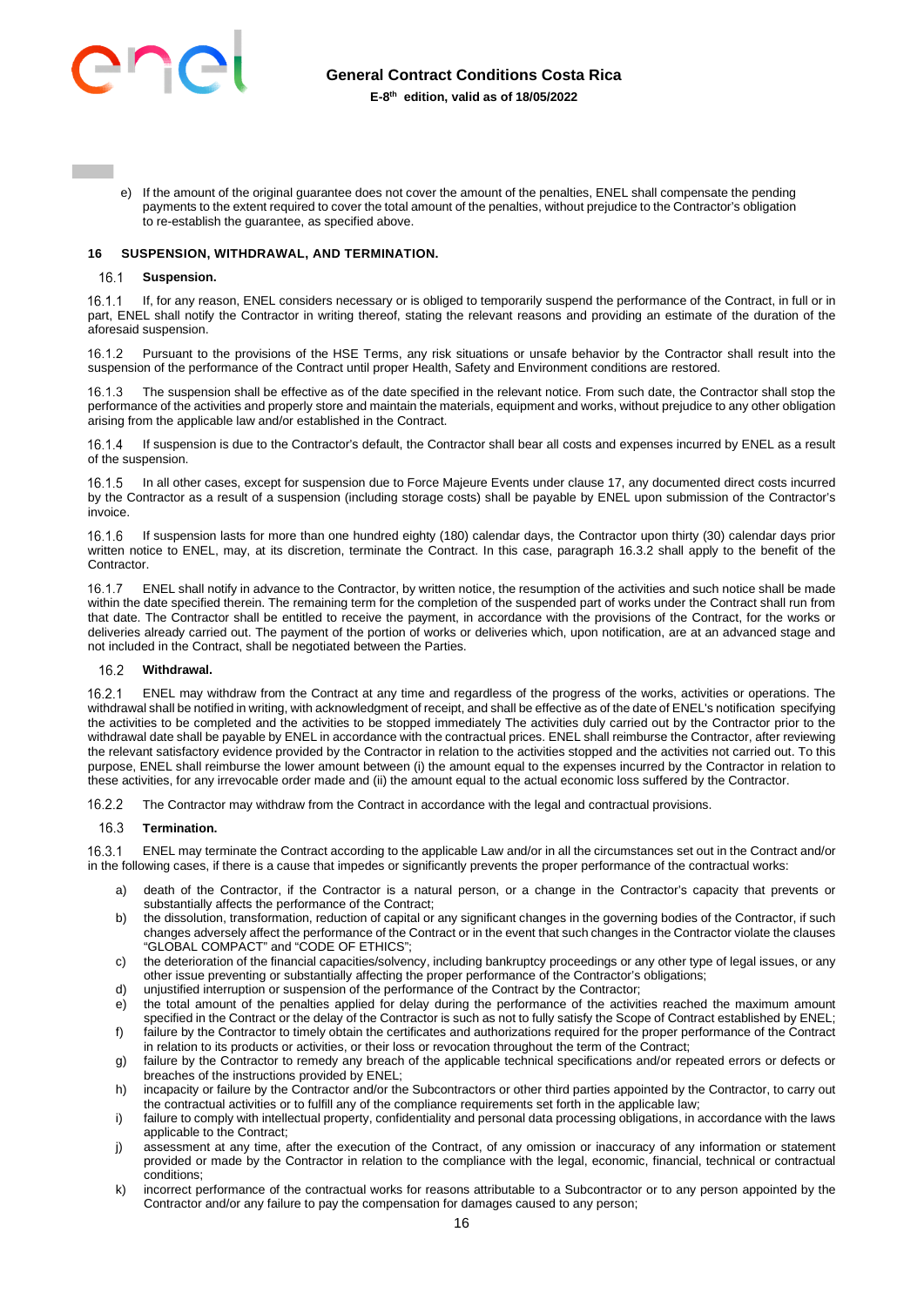

e) If the amount of the original guarantee does not cover the amount of the penalties, ENEL shall compensate the pending payments to the extent required to cover the total amount of the penalties, without prejudice to the Contractor's obligation to re-establish the guarantee, as specified above.

### <span id="page-15-0"></span>**16 SUSPENSION, WITHDRAWAL, AND TERMINATION.**

#### $16.1$ **Suspension.**

 If, for any reason, ENEL considers necessary or is obliged to temporarily suspend the performance of the Contract, in full or in part, ENEL shall notify the Contractor in writing thereof, stating the relevant reasons and providing an estimate of the duration of the aforesaid suspension.

16.1.2 Pursuant to the provisions of the HSE Terms, any risk situations or unsafe behavior by the Contractor shall result into the suspension of the performance of the Contract until proper Health, Safety and Environment conditions are restored.

 The suspension shall be effective as of the date specified in the relevant notice. From such date, the Contractor shall stop the performance of the activities and properly store and maintain the materials, equipment and works, without prejudice to any other obligation arising from the applicable law and/or established in the Contract.

 If suspension is due to the Contractor's default, the Contractor shall bear all costs and expenses incurred by ENEL as a result of the suspension.

16.1.5 In all other cases, except for suspension due to Force Majeure Events under clause 17, any documented direct costs incurred by the Contractor as a result of a suspension (including storage costs) shall be payable by ENEL upon submission of the Contractor's invoice.

 If suspension lasts for more than one hundred eighty (180) calendar days, the Contractor upon thirty (30) calendar days prior written notice to ENEL, may, at its discretion, terminate the Contract. In this case, paragraph 16.3.2 shall apply to the benefit of the **Contractor** 

 ENEL shall notify in advance to the Contractor, by written notice, the resumption of the activities and such notice shall be made within the date specified therein. The remaining term for the completion of the suspended part of works under the Contract shall run from that date. The Contractor shall be entitled to receive the payment, in accordance with the provisions of the Contract, for the works or deliveries already carried out. The payment of the portion of works or deliveries which, upon notification, are at an advanced stage and not included in the Contract, shall be negotiated between the Parties.

#### 16.2 **Withdrawal.**

 ENEL may withdraw from the Contract at any time and regardless of the progress of the works, activities or operations. The withdrawal shall be notified in writing, with acknowledgment of receipt, and shall be effective as of the date of ENEL's notification specifying the activities to be completed and the activities to be stopped immediately The activities duly carried out by the Contractor prior to the withdrawal date shall be payable by ENEL in accordance with the contractual prices. ENEL shall reimburse the Contractor, after reviewing the relevant satisfactory evidence provided by the Contractor in relation to the activities stopped and the activities not carried out. To this purpose, ENEL shall reimburse the lower amount between (i) the amount equal to the expenses incurred by the Contractor in relation to these activities, for any irrevocable order made and (ii) the amount equal to the actual economic loss suffered by the Contractor.

16.2.2 The Contractor may withdraw from the Contract in accordance with the legal and contractual provisions.

#### $16.3$ **Termination.**

 ENEL may terminate the Contract according to the applicable Law and/or in all the circumstances set out in the Contract and/or in the following cases, if there is a cause that impedes or significantly prevents the proper performance of the contractual works:

- a) death of the Contractor, if the Contractor is a natural person, or a change in the Contractor's capacity that prevents or substantially affects the performance of the Contract;
- b) the dissolution, transformation, reduction of capital or any significant changes in the governing bodies of the Contractor, if such changes adversely affect the performance of the Contract or in the event that such changes in the Contractor violate the clauses "GLOBAL COMPACT" and "CODE OF ETHICS";
- c) the deterioration of the financial capacities/solvency, including bankruptcy proceedings or any other type of legal issues, or any other issue preventing or substantially affecting the proper performance of the Contractor's obligations;
- d) unjustified interruption or suspension of the performance of the Contract by the Contractor;
- e) the total amount of the penalties applied for delay during the performance of the activities reached the maximum amount specified in the Contract or the delay of the Contractor is such as not to fully satisfy the Scope of Contract established by ENEL; f) failure by the Contractor to timely obtain the certificates and authorizations required for the proper performance of the Contract
- in relation to its products or activities, or their loss or revocation throughout the term of the Contract;
- g) failure by the Contractor to remedy any breach of the applicable technical specifications and/or repeated errors or defects or breaches of the instructions provided by ENEL;
- h) incapacity or failure by the Contractor and/or the Subcontractors or other third parties appointed by the Contractor, to carry out the contractual activities or to fulfill any of the compliance requirements set forth in the applicable law;
- i) failure to comply with intellectual property, confidentiality and personal data processing obligations, in accordance with the laws applicable to the Contract;
- j) assessment at any time, after the execution of the Contract, of any omission or inaccuracy of any information or statement provided or made by the Contractor in relation to the compliance with the legal, economic, financial, technical or contractual conditions;
- k) incorrect performance of the contractual works for reasons attributable to a Subcontractor or to any person appointed by the Contractor and/or any failure to pay the compensation for damages caused to any person;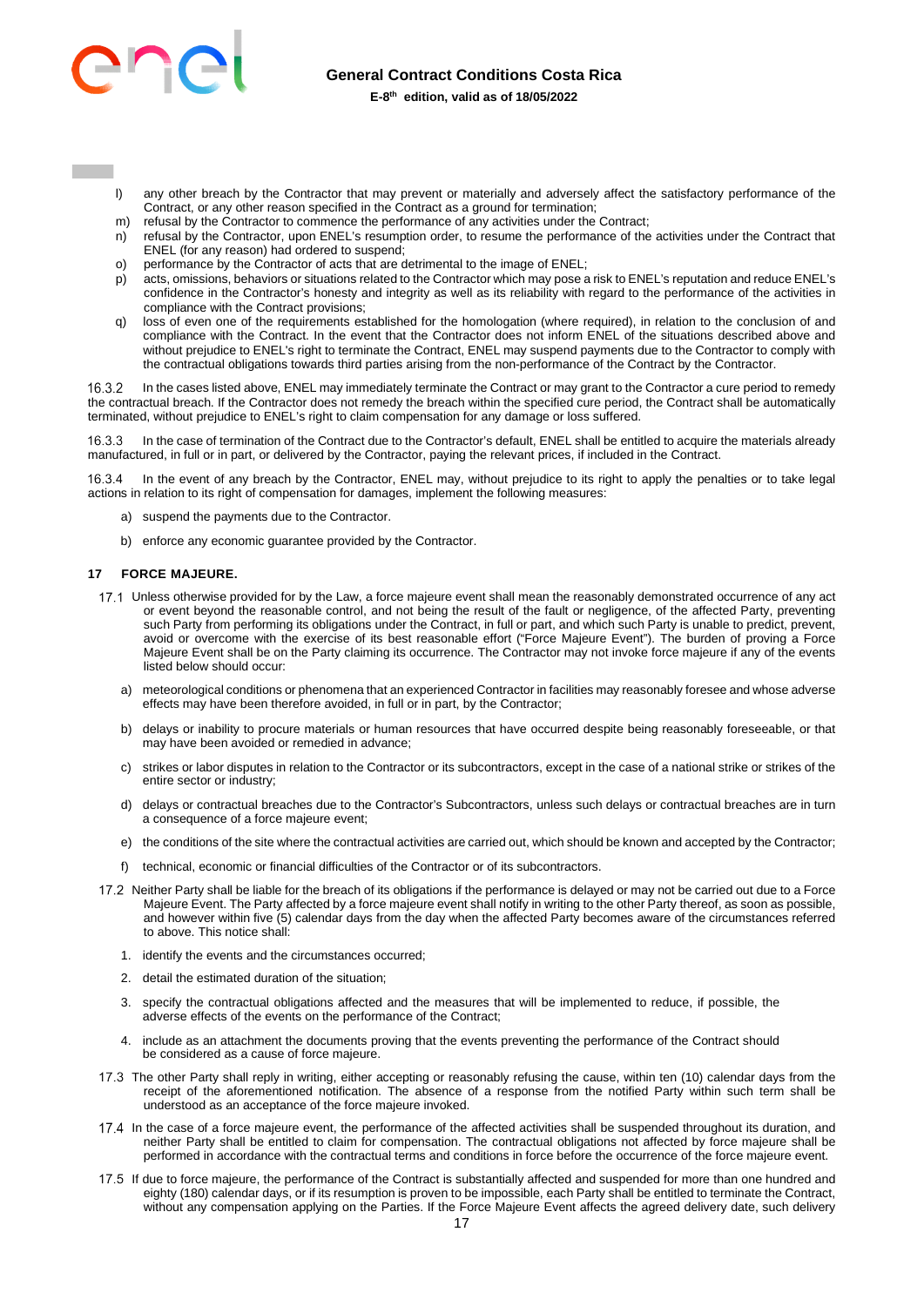

- l) any other breach by the Contractor that may prevent or materially and adversely affect the satisfactory performance of the Contract, or any other reason specified in the Contract as a ground for termination;
- m) refusal by the Contractor to commence the performance of any activities under the Contract;
- n) refusal by the Contractor, upon ENEL's resumption order, to resume the performance of the activities under the Contract that ENEL (for any reason) had ordered to suspend;
- o) performance by the Contractor of acts that are detrimental to the image of ENEL;
- p) acts, omissions, behaviors or situations related to the Contractor which may pose a risk to ENEL's reputation and reduce ENEL's confidence in the Contractor's honesty and integrity as well as its reliability with regard to the performance of the activities in compliance with the Contract provisions;
- q) loss of even one of the requirements established for the homologation (where required), in relation to the conclusion of and compliance with the Contract. In the event that the Contractor does not inform ENEL of the situations described above and without prejudice to ENEL's right to terminate the Contract, ENEL may suspend payments due to the Contractor to comply with the contractual obligations towards third parties arising from the non-performance of the Contract by the Contractor.

 In the cases listed above, ENEL may immediately terminate the Contract or may grant to the Contractor a cure period to remedy the contractual breach. If the Contractor does not remedy the breach within the specified cure period, the Contract shall be automatically terminated, without prejudice to ENEL's right to claim compensation for any damage or loss suffered.

 In the case of termination of the Contract due to the Contractor's default, ENEL shall be entitled to acquire the materials already manufactured, in full or in part, or delivered by the Contractor, paying the relevant prices, if included in the Contract.

 In the event of any breach by the Contractor, ENEL may, without prejudice to its right to apply the penalties or to take legal actions in relation to its right of compensation for damages, implement the following measures:

- a) suspend the payments due to the Contractor.
- b) enforce any economic quarantee provided by the Contractor.

### <span id="page-16-0"></span>**17 FORCE MAJEURE.**

- 17.1 Unless otherwise provided for by the Law, a force majeure event shall mean the reasonably demonstrated occurrence of any act or event beyond the reasonable control, and not being the result of the fault or negligence, of the affected Party, preventing such Party from performing its obligations under the Contract, in full or part, and which such Party is unable to predict, prevent, avoid or overcome with the exercise of its best reasonable effort ("Force Majeure Event"). The burden of proving a Force Majeure Event shall be on the Party claiming its occurrence. The Contractor may not invoke force majeure if any of the events listed below should occur:
	- a) meteorological conditions or phenomena that an experienced Contractor in facilities may reasonably foresee and whose adverse effects may have been therefore avoided, in full or in part, by the Contractor;
	- b) delays or inability to procure materials or human resources that have occurred despite being reasonably foreseeable, or that may have been avoided or remedied in advance;
	- c) strikes or labor disputes in relation to the Contractor or its subcontractors, except in the case of a national strike or strikes of the entire sector or industry;
	- d) delays or contractual breaches due to the Contractor's Subcontractors, unless such delays or contractual breaches are in turn a consequence of a force majeure event;
	- e) the conditions of the site where the contractual activities are carried out, which should be known and accepted by the Contractor;
	- f) technical, economic or financial difficulties of the Contractor or of its subcontractors.
- 17.2 Neither Party shall be liable for the breach of its obligations if the performance is delayed or may not be carried out due to a Force Majeure Event. The Party affected by a force majeure event shall notify in writing to the other Party thereof, as soon as possible, and however within five (5) calendar days from the day when the affected Party becomes aware of the circumstances referred to above. This notice shall:
	- 1. identify the events and the circumstances occurred;
	- 2. detail the estimated duration of the situation;
	- 3. specify the contractual obligations affected and the measures that will be implemented to reduce, if possible, the adverse effects of the events on the performance of the Contract;
	- 4. include as an attachment the documents proving that the events preventing the performance of the Contract should be considered as a cause of force majeure.
- 17.3 The other Party shall reply in writing, either accepting or reasonably refusing the cause, within ten (10) calendar days from the receipt of the aforementioned notification. The absence of a response from the notified Party within such term shall be understood as an acceptance of the force majeure invoked.
- 17.4 In the case of a force majeure event, the performance of the affected activities shall be suspended throughout its duration, and neither Party shall be entitled to claim for compensation. The contractual obligations not affected by force majeure shall be performed in accordance with the contractual terms and conditions in force before the occurrence of the force majeure event.
- If due to force majeure, the performance of the Contract is substantially affected and suspended for more than one hundred and eighty (180) calendar days, or if its resumption is proven to be impossible, each Party shall be entitled to terminate the Contract, without any compensation applying on the Parties. If the Force Majeure Event affects the agreed delivery date, such delivery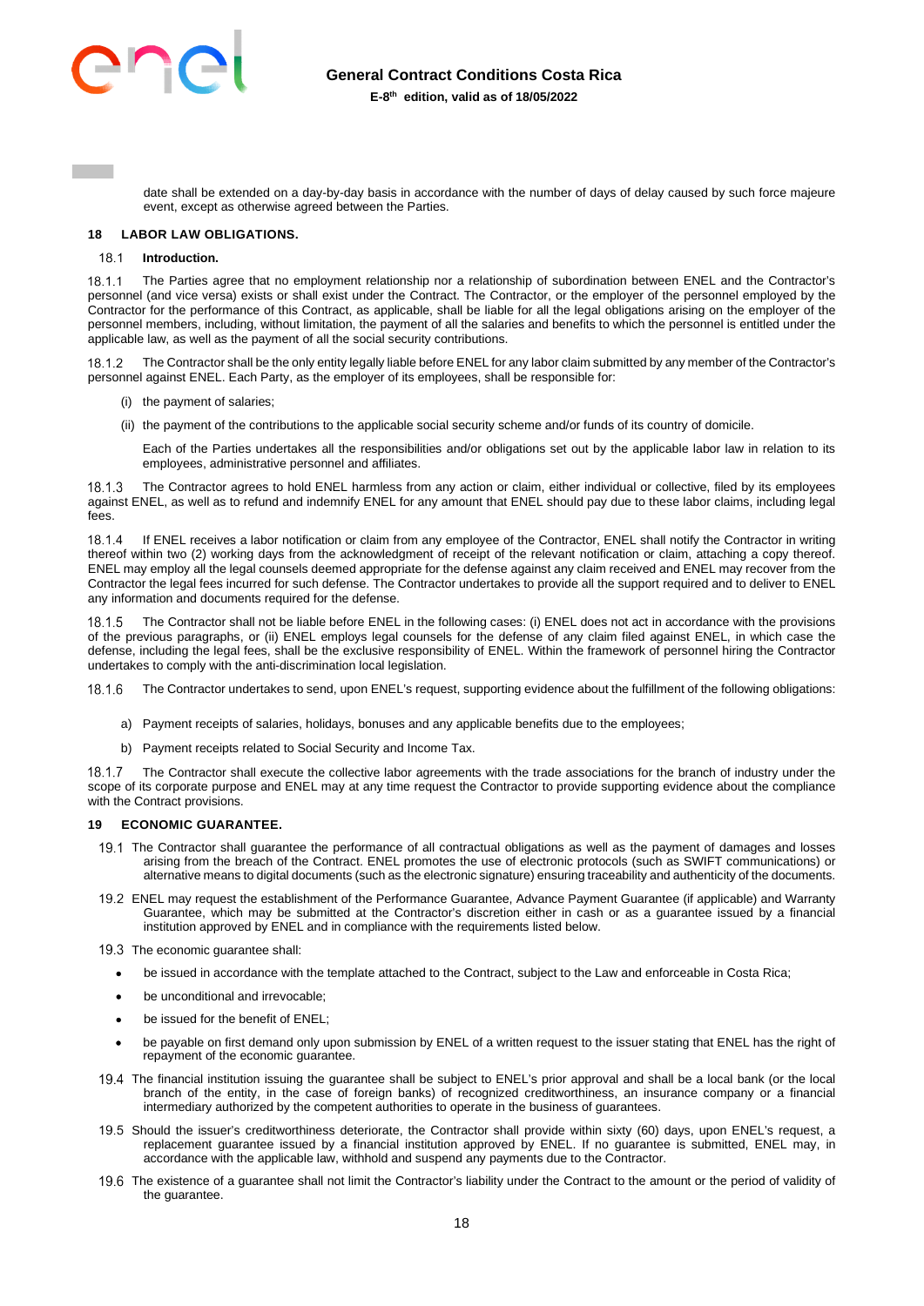

date shall be extended on a day-by-day basis in accordance with the number of days of delay caused by such force majeure event, except as otherwise agreed between the Parties.

### <span id="page-17-0"></span>**18 LABOR LAW OBLIGATIONS.**

#### **Introduction.**  181

18.1.1 The Parties agree that no employment relationship nor a relationship of subordination between ENEL and the Contractor's personnel (and vice versa) exists or shall exist under the Contract. The Contractor, or the employer of the personnel employed by the Contractor for the performance of this Contract, as applicable, shall be liable for all the legal obligations arising on the employer of the personnel members, including, without limitation, the payment of all the salaries and benefits to which the personnel is entitled under the applicable law, as well as the payment of all the social security contributions.

 The Contractor shall be the only entity legally liable before ENEL for any labor claim submitted by any member of the Contractor's personnel against ENEL. Each Party, as the employer of its employees, shall be responsible for:

- (i) the payment of salaries;
- (ii) the payment of the contributions to the applicable social security scheme and/or funds of its country of domicile.

Each of the Parties undertakes all the responsibilities and/or obligations set out by the applicable labor law in relation to its employees, administrative personnel and affiliates.

18.1.3 The Contractor agrees to hold ENEL harmless from any action or claim, either individual or collective, filed by its employees against ENEL, as well as to refund and indemnify ENEL for any amount that ENEL should pay due to these labor claims, including legal fees.

 If ENEL receives a labor notification or claim from any employee of the Contractor, ENEL shall notify the Contractor in writing thereof within two (2) working days from the acknowledgment of receipt of the relevant notification or claim, attaching a copy thereof. ENEL may employ all the legal counsels deemed appropriate for the defense against any claim received and ENEL may recover from the Contractor the legal fees incurred for such defense. The Contractor undertakes to provide all the support required and to deliver to ENEL any information and documents required for the defense.

 The Contractor shall not be liable before ENEL in the following cases: (i) ENEL does not act in accordance with the provisions of the previous paragraphs, or (ii) ENEL employs legal counsels for the defense of any claim filed against ENEL, in which case the defense, including the legal fees, shall be the exclusive responsibility of ENEL. Within the framework of personnel hiring the Contractor undertakes to comply with the anti-discrimination local legislation.

The Contractor undertakes to send, upon ENEL's request, supporting evidence about the fulfillment of the following obligations:

- a) Payment receipts of salaries, holidays, bonuses and any applicable benefits due to the employees;
- b) Payment receipts related to Social Security and Income Tax.

 The Contractor shall execute the collective labor agreements with the trade associations for the branch of industry under the scope of its corporate purpose and ENEL may at any time request the Contractor to provide supporting evidence about the compliance with the Contract provisions.

# <span id="page-17-1"></span>**19 ECONOMIC GUARANTEE.**

- The Contractor shall guarantee the performance of all contractual obligations as well as the payment of damages and losses arising from the breach of the Contract. ENEL promotes the use of electronic protocols (such as SWIFT communications) or alternative means to digital documents (such as the electronic signature) ensuring traceability and authenticity of the documents.
- ENEL may request the establishment of the Performance Guarantee, Advance Payment Guarantee (if applicable) and Warranty Guarantee, which may be submitted at the Contractor's discretion either in cash or as a guarantee issued by a financial institution approved by ENEL and in compliance with the requirements listed below.
- 19.3 The economic quarantee shall:
	- be issued in accordance with the template attached to the Contract, subject to the Law and enforceable in Costa Rica;
	- be unconditional and irrevocable;
	- be issued for the benefit of ENEL;
	- be payable on first demand only upon submission by ENEL of a written request to the issuer stating that ENEL has the right of repayment of the economic guarantee.
- The financial institution issuing the guarantee shall be subject to ENEL's prior approval and shall be a local bank (or the local branch of the entity, in the case of foreign banks) of recognized creditworthiness, an insurance company or a financial intermediary authorized by the competent authorities to operate in the business of guarantees.
- 19.5 Should the issuer's creditworthiness deteriorate, the Contractor shall provide within sixty (60) days, upon ENEL's request, a replacement guarantee issued by a financial institution approved by ENEL. If no guarantee is submitted, ENEL may, in accordance with the applicable law, withhold and suspend any payments due to the Contractor.
- 19.6 The existence of a guarantee shall not limit the Contractor's liability under the Contract to the amount or the period of validity of the guarantee.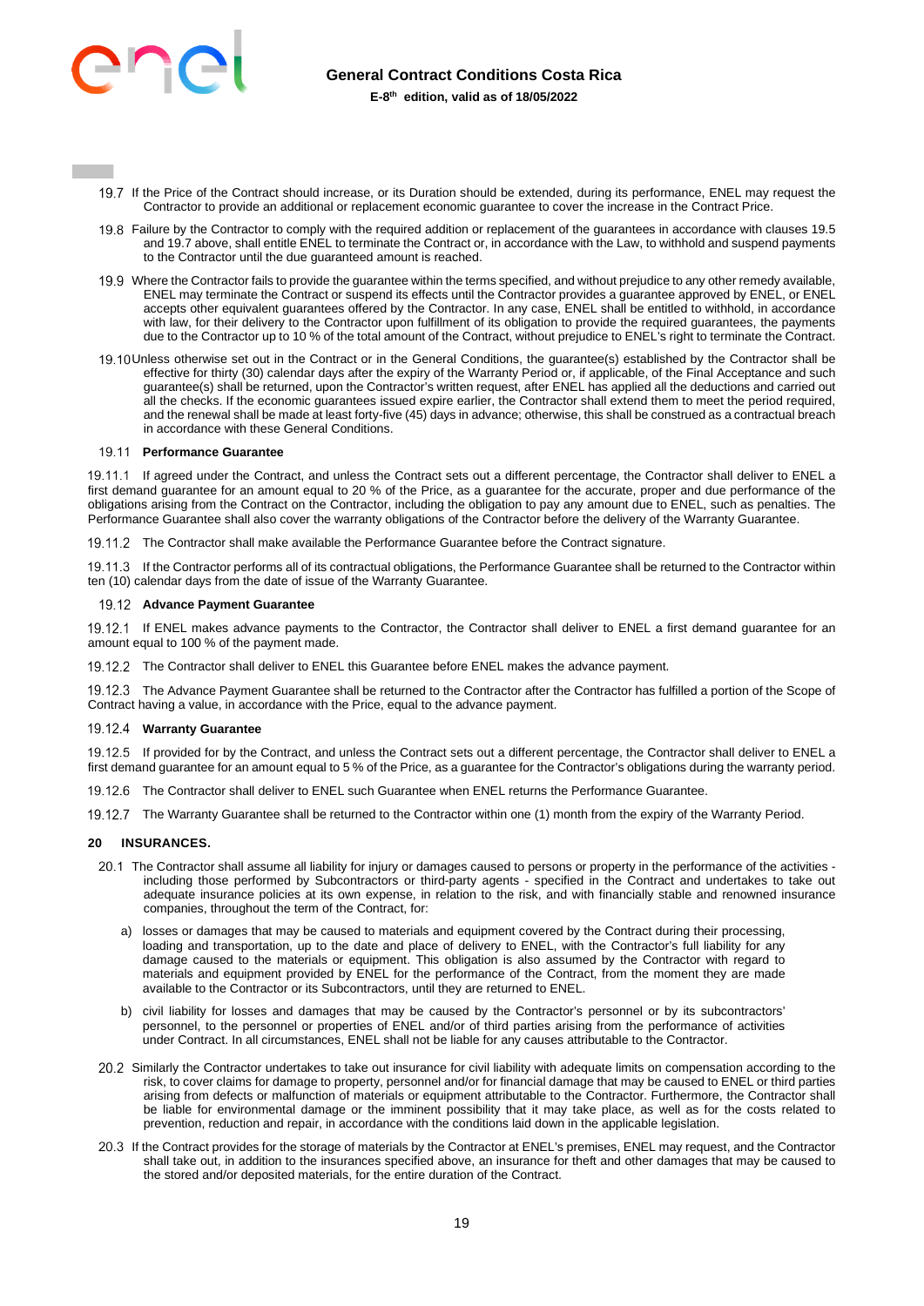

- 19.7 If the Price of the Contract should increase, or its Duration should be extended, during its performance, ENEL may request the Contractor to provide an additional or replacement economic guarantee to cover the increase in the Contract Price.
- Failure by the Contractor to comply with the required addition or replacement of the guarantees in accordance with clauses 19.5 and 19.7 above, shall entitle ENEL to terminate the Contract or, in accordance with the Law, to withhold and suspend payments to the Contractor until the due guaranteed amount is reached.
- 19.9 Where the Contractor fails to provide the guarantee within the terms specified, and without prejudice to any other remedy available, ENEL may terminate the Contract or suspend its effects until the Contractor provides a guarantee approved by ENEL, or ENEL accepts other equivalent guarantees offered by the Contractor. In any case, ENEL shall be entitled to withhold, in accordance with law, for their delivery to the Contractor upon fulfillment of its obligation to provide the required guarantees, the payments due to the Contractor up to 10 % of the total amount of the Contract, without prejudice to ENEL's right to terminate the Contract.
- 19.10 Unless otherwise set out in the Contract or in the General Conditions, the guarantee(s) established by the Contractor shall be effective for thirty (30) calendar days after the expiry of the Warranty Period or, if applicable, of the Final Acceptance and such guarantee(s) shall be returned, upon the Contractor's written request, after ENEL has applied all the deductions and carried out all the checks. If the economic guarantees issued expire earlier, the Contractor shall extend them to meet the period required, and the renewal shall be made at least forty-five (45) days in advance; otherwise, this shall be construed as a contractual breach in accordance with these General Conditions.

### **Performance Guarantee**

19.11.1 If agreed under the Contract, and unless the Contract sets out a different percentage, the Contractor shall deliver to ENEL a first demand guarantee for an amount equal to 20 % of the Price, as a guarantee for the accurate, proper and due performance of the obligations arising from the Contract on the Contractor, including the obligation to pay any amount due to ENEL, such as penalties. The Performance Guarantee shall also cover the warranty obligations of the Contractor before the delivery of the Warranty Guarantee.

19.11.2 The Contractor shall make available the Performance Guarantee before the Contract signature.

19.11.3 If the Contractor performs all of its contractual obligations, the Performance Guarantee shall be returned to the Contractor within ten (10) calendar days from the date of issue of the Warranty Guarantee.

### **Advance Payment Guarantee**

19.12.1 If ENEL makes advance payments to the Contractor, the Contractor shall deliver to ENEL a first demand guarantee for an amount equal to 100 % of the payment made.

19.12.2 The Contractor shall deliver to ENEL this Guarantee before ENEL makes the advance payment.

 The Advance Payment Guarantee shall be returned to the Contractor after the Contractor has fulfilled a portion of the Scope of Contract having a value, in accordance with the Price, equal to the advance payment.

# **Warranty Guarantee**

19.12.5 If provided for by the Contract, and unless the Contract sets out a different percentage, the Contractor shall deliver to ENEL a first demand guarantee for an amount equal to 5 % of the Price, as a guarantee for the Contractor's obligations during the warranty period.

19.12.6 The Contractor shall deliver to ENEL such Guarantee when ENEL returns the Performance Guarantee.

19.12.7 The Warranty Guarantee shall be returned to the Contractor within one (1) month from the expiry of the Warranty Period.

### <span id="page-18-0"></span>**20 INSURANCES.**

- 20.1 The Contractor shall assume all liability for injury or damages caused to persons or property in the performance of the activities including those performed by Subcontractors or third-party agents - specified in the Contract and undertakes to take out adequate insurance policies at its own expense, in relation to the risk, and with financially stable and renowned insurance companies, throughout the term of the Contract, for:
	- a) losses or damages that may be caused to materials and equipment covered by the Contract during their processing, loading and transportation, up to the date and place of delivery to ENEL, with the Contractor's full liability for any damage caused to the materials or equipment. This obligation is also assumed by the Contractor with regard to materials and equipment provided by ENEL for the performance of the Contract, from the moment they are made available to the Contractor or its Subcontractors, until they are returned to ENEL.
	- b) civil liability for losses and damages that may be caused by the Contractor's personnel or by its subcontractors' personnel, to the personnel or properties of ENEL and/or of third parties arising from the performance of activities under Contract. In all circumstances, ENEL shall not be liable for any causes attributable to the Contractor.
- 20.2 Similarly the Contractor undertakes to take out insurance for civil liability with adequate limits on compensation according to the risk, to cover claims for damage to property, personnel and/or for financial damage that may be caused to ENEL or third parties arising from defects or malfunction of materials or equipment attributable to the Contractor. Furthermore, the Contractor shall be liable for environmental damage or the imminent possibility that it may take place, as well as for the costs related to prevention, reduction and repair, in accordance with the conditions laid down in the applicable legislation.
- 20.3 If the Contract provides for the storage of materials by the Contractor at ENEL's premises, ENEL may request, and the Contractor shall take out, in addition to the insurances specified above, an insurance for theft and other damages that may be caused to the stored and/or deposited materials, for the entire duration of the Contract.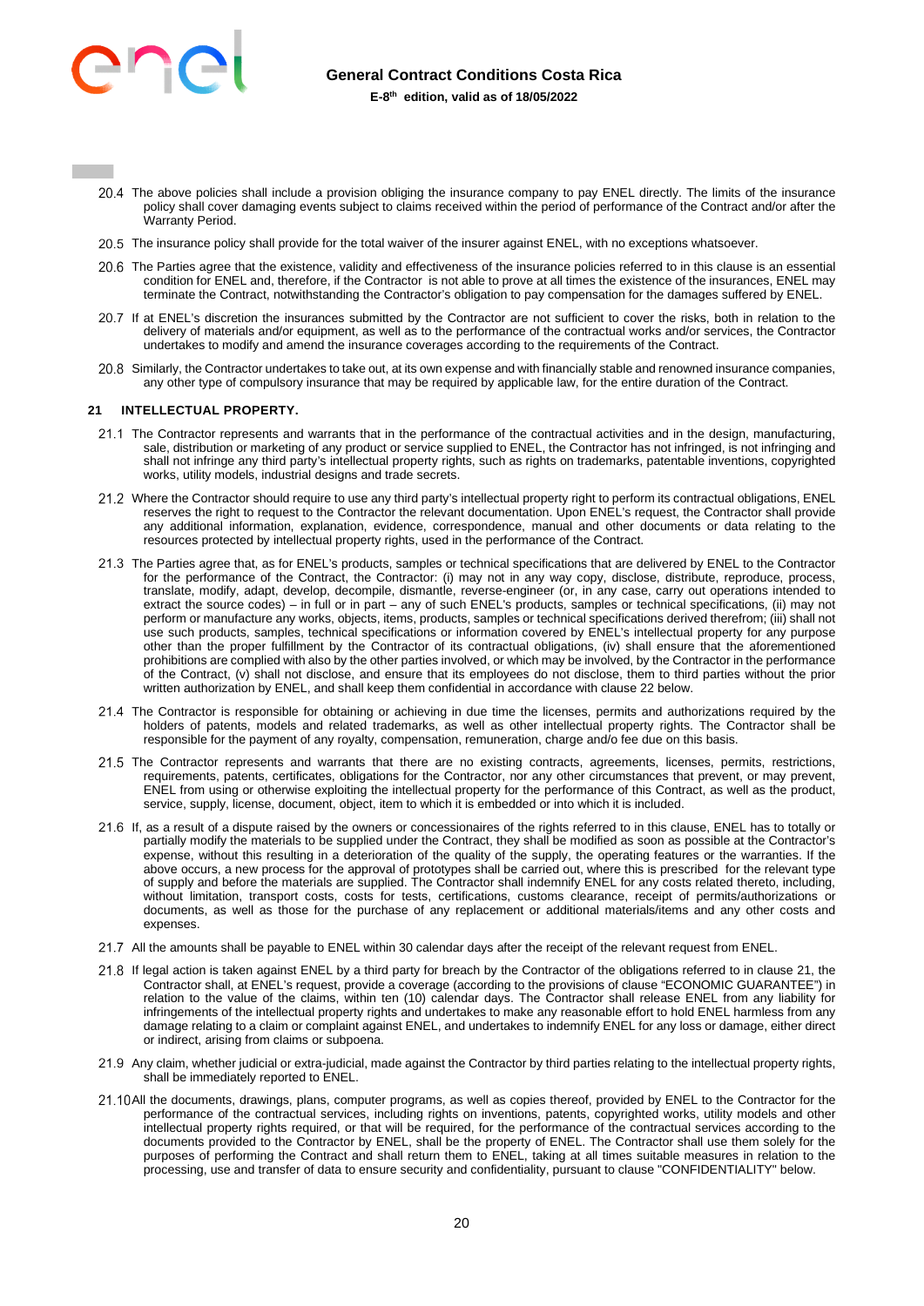

- The above policies shall include a provision obliging the insurance company to pay ENEL directly. The limits of the insurance policy shall cover damaging events subject to claims received within the period of performance of the Contract and/or after the Warranty Period.
- 20.5 The insurance policy shall provide for the total waiver of the insurer against ENEL, with no exceptions whatsoever.
- The Parties agree that the existence, validity and effectiveness of the insurance policies referred to in this clause is an essential condition for ENEL and, therefore, if the Contractor is not able to prove at all times the existence of the insurances, ENEL may terminate the Contract, notwithstanding the Contractor's obligation to pay compensation for the damages suffered by ENEL.
- 20.7 If at ENEL's discretion the insurances submitted by the Contractor are not sufficient to cover the risks, both in relation to the delivery of materials and/or equipment, as well as to the performance of the contractual works and/or services, the Contractor undertakes to modify and amend the insurance coverages according to the requirements of the Contract.
- 20.8 Similarly, the Contractor undertakes to take out, at its own expense and with financially stable and renowned insurance companies, any other type of compulsory insurance that may be required by applicable law, for the entire duration of the Contract.

### <span id="page-19-0"></span>**21 INTELLECTUAL PROPERTY.**

- 21.1 The Contractor represents and warrants that in the performance of the contractual activities and in the design, manufacturing, sale, distribution or marketing of any product or service supplied to ENEL, the Contractor has not infringed, is not infringing and shall not infringe any third party's intellectual property rights, such as rights on trademarks, patentable inventions, copyrighted works, utility models, industrial designs and trade secrets.
- 21.2 Where the Contractor should require to use any third party's intellectual property right to perform its contractual obligations, ENEL reserves the right to request to the Contractor the relevant documentation. Upon ENEL's request, the Contractor shall provide any additional information, explanation, evidence, correspondence, manual and other documents or data relating to the resources protected by intellectual property rights, used in the performance of the Contract.
- 21.3 The Parties agree that, as for ENEL's products, samples or technical specifications that are delivered by ENEL to the Contractor for the performance of the Contract, the Contractor: (i) may not in any way copy, disclose, distribute, reproduce, process, translate, modify, adapt, develop, decompile, dismantle, reverse-engineer (or, in any case, carry out operations intended to extract the source codes) – in full or in part – any of such ENEL's products, samples or technical specifications, (ii) may not perform or manufacture any works, objects, items, products, samples or technical specifications derived therefrom; (iii) shall not use such products, samples, technical specifications or information covered by ENEL's intellectual property for any purpose other than the proper fulfillment by the Contractor of its contractual obligations, (iv) shall ensure that the aforementioned prohibitions are complied with also by the other parties involved, or which may be involved, by the Contractor in the performance of the Contract, (v) shall not disclose, and ensure that its employees do not disclose, them to third parties without the prior written authorization by ENEL, and shall keep them confidential in accordance with clause 22 below.
- 21.4 The Contractor is responsible for obtaining or achieving in due time the licenses, permits and authorizations required by the holders of patents, models and related trademarks, as well as other intellectual property rights. The Contractor shall be responsible for the payment of any royalty, compensation, remuneration, charge and/o fee due on this basis.
- 21.5 The Contractor represents and warrants that there are no existing contracts, agreements, licenses, permits, restrictions, requirements, patents, certificates, obligations for the Contractor, nor any other circumstances that prevent, or may prevent, ENEL from using or otherwise exploiting the intellectual property for the performance of this Contract, as well as the product, service, supply, license, document, object, item to which it is embedded or into which it is included.
- 21.6 If, as a result of a dispute raised by the owners or concessionaires of the rights referred to in this clause, ENEL has to totally or partially modify the materials to be supplied under the Contract, they shall be modified as soon as possible at the Contractor's expense, without this resulting in a deterioration of the quality of the supply, the operating features or the warranties. If the above occurs, a new process for the approval of prototypes shall be carried out, where this is prescribed for the relevant type of supply and before the materials are supplied. The Contractor shall indemnify ENEL for any costs related thereto, including, without limitation, transport costs, costs for tests, certifications, customs clearance, receipt of permits/authorizations or documents, as well as those for the purchase of any replacement or additional materials/items and any other costs and expenses.
- All the amounts shall be payable to ENEL within 30 calendar days after the receipt of the relevant request from ENEL.
- 21.8 If legal action is taken against ENEL by a third party for breach by the Contractor of the obligations referred to in clause 21, the Contractor shall, at ENEL's request, provide a coverage (according to the provisions of clause "ECONOMIC GUARANTEE") in relation to the value of the claims, within ten (10) calendar days. The Contractor shall release ENEL from any liability for infringements of the intellectual property rights and undertakes to make any reasonable effort to hold ENEL harmless from any damage relating to a claim or complaint against ENEL, and undertakes to indemnify ENEL for any loss or damage, either direct or indirect, arising from claims or subpoena.
- 21.9 Any claim, whether judicial or extra-judicial, made against the Contractor by third parties relating to the intellectual property rights, shall be immediately reported to ENEL.
- 21.10 All the documents, drawings, plans, computer programs, as well as copies thereof, provided by ENEL to the Contractor for the performance of the contractual services, including rights on inventions, patents, copyrighted works, utility models and other intellectual property rights required, or that will be required, for the performance of the contractual services according to the documents provided to the Contractor by ENEL, shall be the property of ENEL. The Contractor shall use them solely for the purposes of performing the Contract and shall return them to ENEL, taking at all times suitable measures in relation to the processing, use and transfer of data to ensure security and confidentiality, pursuant to clause "CONFIDENTIALITY" below.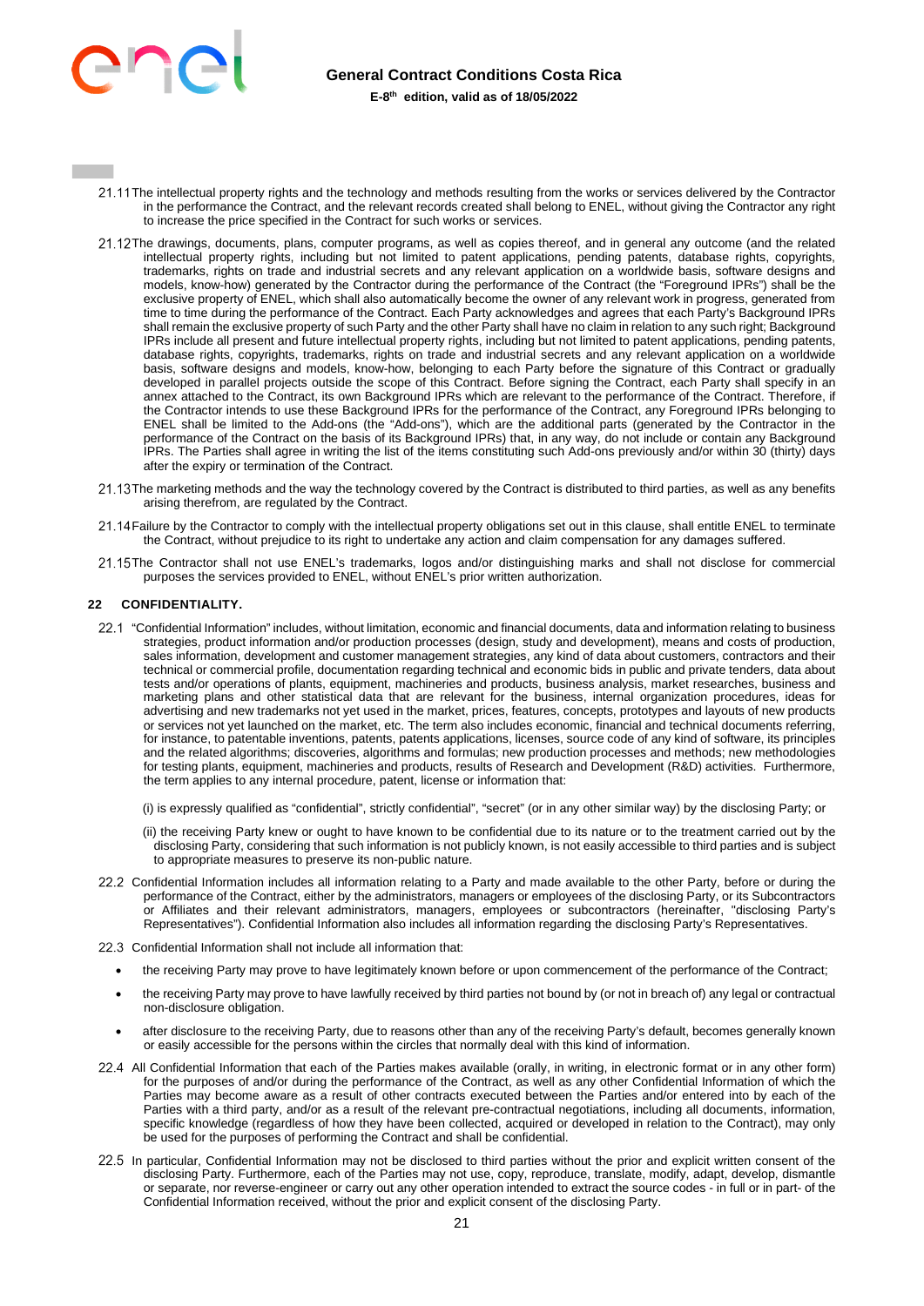

- 21.11 The intellectual property rights and the technology and methods resulting from the works or services delivered by the Contractor in the performance the Contract, and the relevant records created shall belong to ENEL, without giving the Contractor any right to increase the price specified in the Contract for such works or services.
- 21.12The drawings, documents, plans, computer programs, as well as copies thereof, and in general any outcome (and the related intellectual property rights, including but not limited to patent applications, pending patents, database rights, copyrights, trademarks, rights on trade and industrial secrets and any relevant application on a worldwide basis, software designs and models, know-how) generated by the Contractor during the performance of the Contract (the "Foreground IPRs") shall be the exclusive property of ENEL, which shall also automatically become the owner of any relevant work in progress, generated from time to time during the performance of the Contract. Each Party acknowledges and agrees that each Party's Background IPRs shall remain the exclusive property of such Party and the other Party shall have no claim in relation to any such right; Background IPRs include all present and future intellectual property rights, including but not limited to patent applications, pending patents, database rights, copyrights, trademarks, rights on trade and industrial secrets and any relevant application on a worldwide basis, software designs and models, know-how, belonging to each Party before the signature of this Contract or gradually developed in parallel projects outside the scope of this Contract. Before signing the Contract, each Party shall specify in an annex attached to the Contract, its own Background IPRs which are relevant to the performance of the Contract. Therefore, if the Contractor intends to use these Background IPRs for the performance of the Contract, any Foreground IPRs belonging to ENEL shall be limited to the Add-ons (the "Add-ons"), which are the additional parts (generated by the Contractor in the performance of the Contract on the basis of its Background IPRs) that, in any way, do not include or contain any Background IPRs. The Parties shall agree in writing the list of the items constituting such Add-ons previously and/or within 30 (thirty) days after the expiry or termination of the Contract.
- 21.13 The marketing methods and the way the technology covered by the Contract is distributed to third parties, as well as any benefits arising therefrom, are regulated by the Contract.
- 21.14 Failure by the Contractor to comply with the intellectual property obligations set out in this clause, shall entitle ENEL to terminate the Contract, without prejudice to its right to undertake any action and claim compensation for any damages suffered.
- 21.15 The Contractor shall not use ENEL's trademarks, logos and/or distinguishing marks and shall not disclose for commercial purposes the services provided to ENEL, without ENEL's prior written authorization.

# <span id="page-20-0"></span>**22 CONFIDENTIALITY.**

22.1 "Confidential Information" includes, without limitation, economic and financial documents, data and information relating to business strategies, product information and/or production processes (design, study and development), means and costs of production, sales information, development and customer management strategies, any kind of data about customers, contractors and their technical or commercial profile, documentation regarding technical and economic bids in public and private tenders, data about tests and/or operations of plants, equipment, machineries and products, business analysis, market researches, business and marketing plans and other statistical data that are relevant for the business, internal organization procedures, ideas for advertising and new trademarks not yet used in the market, prices, features, concepts, prototypes and layouts of new products or services not yet launched on the market, etc. The term also includes economic, financial and technical documents referring, for instance, to patentable inventions, patents, patents applications, licenses, source code of any kind of software, its principles and the related algorithms; discoveries, algorithms and formulas; new production processes and methods; new methodologies for testing plants, equipment, machineries and products, results of Research and Development (R&D) activities. Furthermore, the term applies to any internal procedure, patent, license or information that:

(i) is expressly qualified as "confidential", strictly confidential", "secret" (or in any other similar way) by the disclosing Party; or

- (ii) the receiving Party knew or ought to have known to be confidential due to its nature or to the treatment carried out by the disclosing Party, considering that such information is not publicly known, is not easily accessible to third parties and is subject to appropriate measures to preserve its non-public nature.
- 22.2 Confidential Information includes all information relating to a Party and made available to the other Party, before or during the performance of the Contract, either by the administrators, managers or employees of the disclosing Party, or its Subcontractors or Affiliates and their relevant administrators, managers, employees or subcontractors (hereinafter, "disclosing Party's Representatives"). Confidential Information also includes all information regarding the disclosing Party's Representatives.
- 22.3. Confidential Information shall not include all information that:
	- the receiving Party may prove to have legitimately known before or upon commencement of the performance of the Contract;
	- the receiving Party may prove to have lawfully received by third parties not bound by (or not in breach of) any legal or contractual non-disclosure obligation.
	- after disclosure to the receiving Party, due to reasons other than any of the receiving Party's default, becomes generally known or easily accessible for the persons within the circles that normally deal with this kind of information.
- 22.4 All Confidential Information that each of the Parties makes available (orally, in writing, in electronic format or in any other form) for the purposes of and/or during the performance of the Contract, as well as any other Confidential Information of which the Parties may become aware as a result of other contracts executed between the Parties and/or entered into by each of the Parties with a third party, and/or as a result of the relevant pre-contractual negotiations, including all documents, information, specific knowledge (regardless of how they have been collected, acquired or developed in relation to the Contract), may only be used for the purposes of performing the Contract and shall be confidential.
- 22.5 In particular, Confidential Information may not be disclosed to third parties without the prior and explicit written consent of the disclosing Party. Furthermore, each of the Parties may not use, copy, reproduce, translate, modify, adapt, develop, dismantle or separate, nor reverse-engineer or carry out any other operation intended to extract the source codes - in full or in part- of the Confidential Information received, without the prior and explicit consent of the disclosing Party.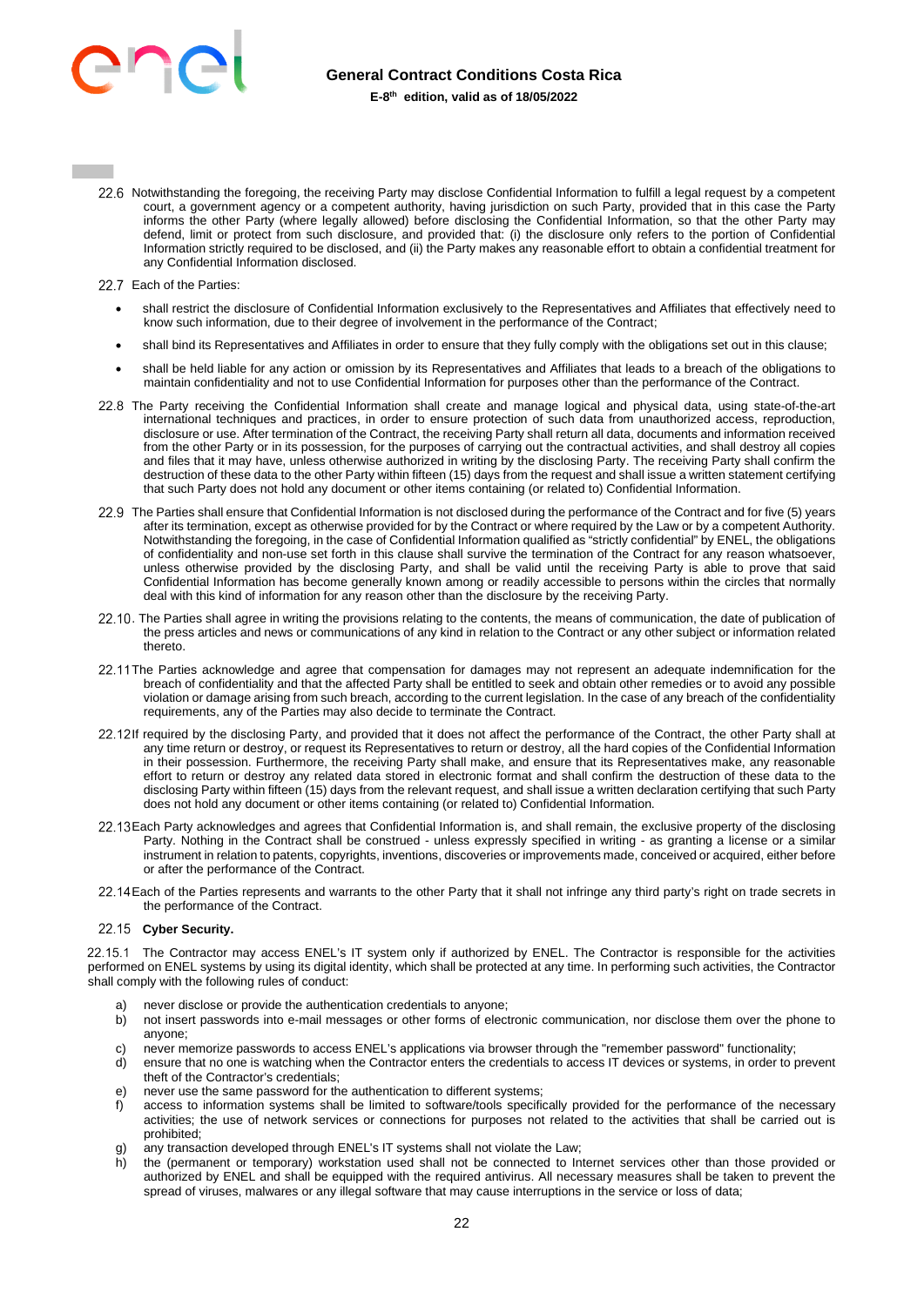

- 22.6 Notwithstanding the foregoing, the receiving Party may disclose Confidential Information to fulfill a legal request by a competent court, a government agency or a competent authority, having jurisdiction on such Party, provided that in this case the Party informs the other Party (where legally allowed) before disclosing the Confidential Information, so that the other Party may defend, limit or protect from such disclosure, and provided that: (i) the disclosure only refers to the portion of Confidential Information strictly required to be disclosed, and (ii) the Party makes any reasonable effort to obtain a confidential treatment for any Confidential Information disclosed.
- 22.7 Each of the Parties:
	- shall restrict the disclosure of Confidential Information exclusively to the Representatives and Affiliates that effectively need to know such information, due to their degree of involvement in the performance of the Contract;
	- shall bind its Representatives and Affiliates in order to ensure that they fully comply with the obligations set out in this clause;
	- shall be held liable for any action or omission by its Representatives and Affiliates that leads to a breach of the obligations to maintain confidentiality and not to use Confidential Information for purposes other than the performance of the Contract.
- 22.8 The Party receiving the Confidential Information shall create and manage logical and physical data, using state-of-the-art international techniques and practices, in order to ensure protection of such data from unauthorized access, reproduction, disclosure or use. After termination of the Contract, the receiving Party shall return all data, documents and information received from the other Party or in its possession, for the purposes of carrying out the contractual activities, and shall destroy all copies and files that it may have, unless otherwise authorized in writing by the disclosing Party. The receiving Party shall confirm the destruction of these data to the other Party within fifteen (15) days from the request and shall issue a written statement certifying that such Party does not hold any document or other items containing (or related to) Confidential Information.
- 22.9 The Parties shall ensure that Confidential Information is not disclosed during the performance of the Contract and for five (5) years after its termination, except as otherwise provided for by the Contract or where required by the Law or by a competent Authority. Notwithstanding the foregoing, in the case of Confidential Information qualified as "strictly confidential" by ENEL, the obligations of confidentiality and non-use set forth in this clause shall survive the termination of the Contract for any reason whatsoever, unless otherwise provided by the disclosing Party, and shall be valid until the receiving Party is able to prove that said Confidential Information has become generally known among or readily accessible to persons within the circles that normally deal with this kind of information for any reason other than the disclosure by the receiving Party.
- 22.10. The Parties shall agree in writing the provisions relating to the contents, the means of communication, the date of publication of the press articles and news or communications of any kind in relation to the Contract or any other subject or information related thereto.
- 22.11 The Parties acknowledge and agree that compensation for damages may not represent an adequate indemnification for the breach of confidentiality and that the affected Party shall be entitled to seek and obtain other remedies or to avoid any possible violation or damage arising from such breach, according to the current legislation. In the case of any breach of the confidentiality requirements, any of the Parties may also decide to terminate the Contract.
- 22.12If required by the disclosing Party, and provided that it does not affect the performance of the Contract, the other Party shall at any time return or destroy, or request its Representatives to return or destroy, all the hard copies of the Confidential Information in their possession. Furthermore, the receiving Party shall make, and ensure that its Representatives make, any reasonable effort to return or destroy any related data stored in electronic format and shall confirm the destruction of these data to the disclosing Party within fifteen (15) days from the relevant request, and shall issue a written declaration certifying that such Party does not hold any document or other items containing (or related to) Confidential Information.
- Each Party acknowledges and agrees that Confidential Information is, and shall remain, the exclusive property of the disclosing Party. Nothing in the Contract shall be construed - unless expressly specified in writing - as granting a license or a similar instrument in relation to patents, copyrights, inventions, discoveries or improvements made, conceived or acquired, either before or after the performance of the Contract.
- 22.14 Each of the Parties represents and warrants to the other Party that it shall not infringe any third party's right on trade secrets in the performance of the Contract.

# 22.15 Cyber Security.

22.15.1 The Contractor may access ENEL's IT system only if authorized by ENEL. The Contractor is responsible for the activities performed on ENEL systems by using its digital identity, which shall be protected at any time. In performing such activities, the Contractor shall comply with the following rules of conduct:

- a) never disclose or provide the authentication credentials to anyone;
- b) not insert passwords into e-mail messages or other forms of electronic communication, nor disclose them over the phone to anyone;
- c) never memorize passwords to access ENEL's applications via browser through the "remember password" functionality;
- d) ensure that no one is watching when the Contractor enters the credentials to access IT devices or systems, in order to prevent theft of the Contractor's credentials;
- e) never use the same password for the authentication to different systems;
- f) access to information systems shall be limited to software/tools specifically provided for the performance of the necessary activities; the use of network services or connections for purposes not related to the activities that shall be carried out is prohibited;
- g) any transaction developed through ENEL's IT systems shall not violate the Law;
- the (permanent or temporary) workstation used shall not be connected to Internet services other than those provided or authorized by ENEL and shall be equipped with the required antivirus. All necessary measures shall be taken to prevent the spread of viruses, malwares or any illegal software that may cause interruptions in the service or loss of data;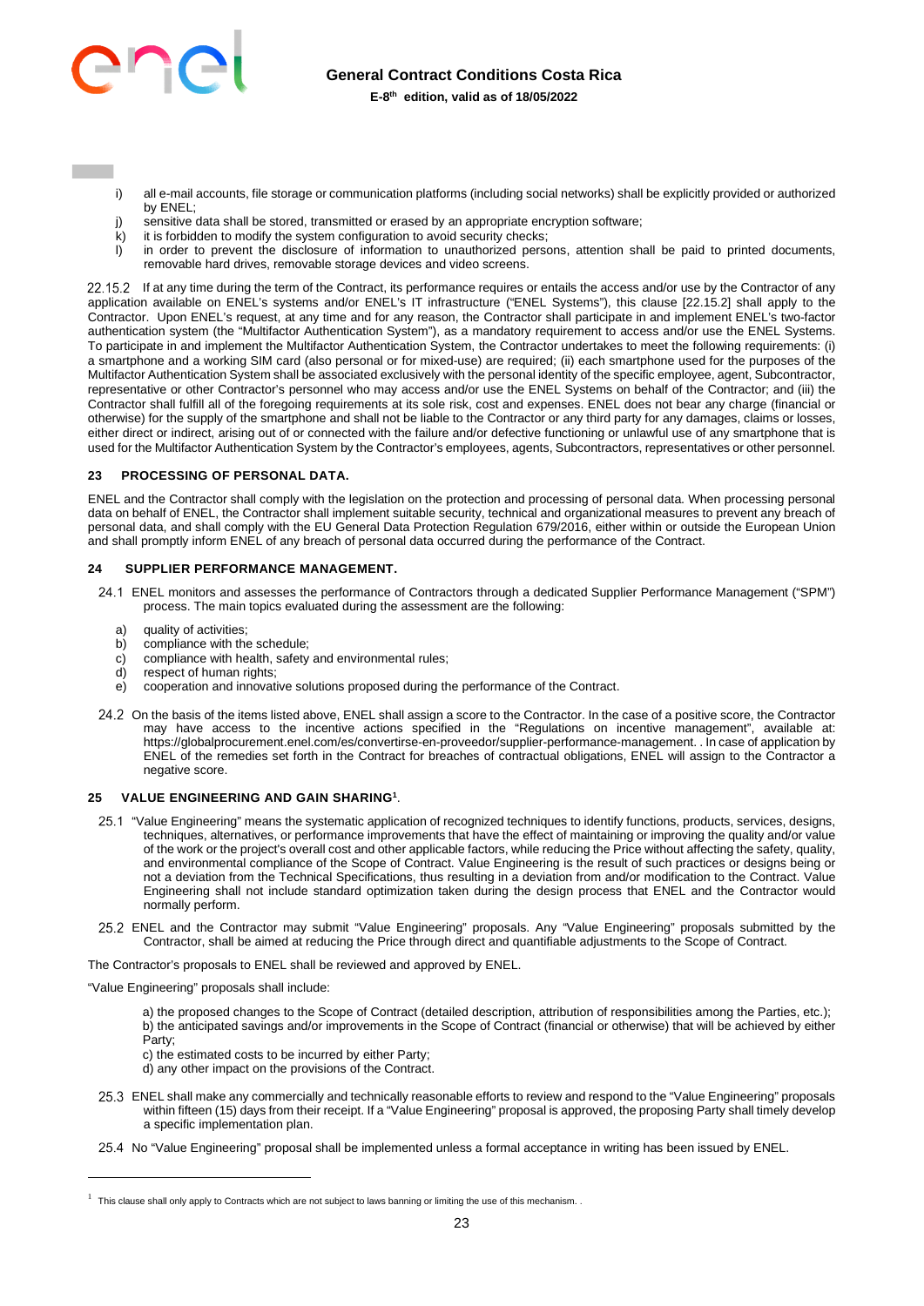

# **General Contract Conditions Costa Rica**

**E-8th edition, valid as of 18/05/2022** 

- i) all e-mail accounts, file storage or communication platforms (including social networks) shall be explicitly provided or authorized by ENEL;
- j) sensitive data shall be stored, transmitted or erased by an appropriate encryption software;
- $k$ ) it is forbidden to modify the system configuration to avoid security checks;
- l) in order to prevent the disclosure of information to unauthorized persons, attention shall be paid to printed documents, removable hard drives, removable storage devices and video screens.

22.15.2 If at any time during the term of the Contract, its performance requires or entails the access and/or use by the Contractor of any application available on ENEL's systems and/or ENEL's IT infrastructure ("ENEL Systems"), this clause [22.15.2] shall apply to the Contractor. Upon ENEL's request, at any time and for any reason, the Contractor shall participate in and implement ENEL's two-factor authentication system (the "Multifactor Authentication System"), as a mandatory requirement to access and/or use the ENEL Systems. To participate in and implement the Multifactor Authentication System, the Contractor undertakes to meet the following requirements: (i) a smartphone and a working SIM card (also personal or for mixed-use) are required; (ii) each smartphone used for the purposes of the Multifactor Authentication System shall be associated exclusively with the personal identity of the specific employee, agent, Subcontractor, representative or other Contractor's personnel who may access and/or use the ENEL Systems on behalf of the Contractor; and (iii) the Contractor shall fulfill all of the foregoing requirements at its sole risk, cost and expenses. ENEL does not bear any charge (financial or otherwise) for the supply of the smartphone and shall not be liable to the Contractor or any third party for any damages, claims or losses, either direct or indirect, arising out of or connected with the failure and/or defective functioning or unlawful use of any smartphone that is used for the Multifactor Authentication System by the Contractor's employees, agents, Subcontractors, representatives or other personnel.

# <span id="page-22-0"></span>**23 PROCESSING OF PERSONAL DATA.**

ENEL and the Contractor shall comply with the legislation on the protection and processing of personal data. When processing personal data on behalf of ENEL, the Contractor shall implement suitable security, technical and organizational measures to prevent any breach of personal data, and shall comply with the EU General Data Protection Regulation 679/2016, either within or outside the European Union and shall promptly inform ENEL of any breach of personal data occurred during the performance of the Contract.

### **24 SUPPLIER PERFORMANCE MANAGEMENT.**

- <span id="page-22-1"></span> ENEL monitors and assesses the performance of Contractors through a dedicated Supplier Performance Management ("SPM") process. The main topics evaluated during the assessment are the following:
	- a) quality of activities;<br>b) compliance with the
	- compliance with the schedule;
	- c) compliance with health, safety and environmental rules;
	- d) respect of human rights;
	- e) cooperation and innovative solutions proposed during the performance of the Contract.
- 24.2 On the basis of the items listed above, ENEL shall assign a score to the Contractor. In the case of a positive score, the Contractor may have access to the incentive actions specified in the "Regulations on incentive management", available at: https://globalprocurement.enel.com/es/convertirse-en-proveedor/supplier-performance-management. . In case of application by ENEL of the remedies set forth in the Contract for breaches of contractual obligations, ENEL will assign to the Contractor a negative score.

### <span id="page-22-2"></span>**25 VALUE ENGINEERING AND GAIN SHARING<sup>1</sup>** .

- 25.1 "Value Engineering" means the systematic application of recognized techniques to identify functions, products, services, designs, techniques, alternatives, or performance improvements that have the effect of maintaining or improving the quality and/or value of the work or the project's overall cost and other applicable factors, while reducing the Price without affecting the safety, quality, and environmental compliance of the Scope of Contract. Value Engineering is the result of such practices or designs being or not a deviation from the Technical Specifications, thus resulting in a deviation from and/or modification to the Contract. Value Engineering shall not include standard optimization taken during the design process that ENEL and the Contractor would normally perform.
- ENEL and the Contractor may submit "Value Engineering" proposals. Any "Value Engineering" proposals submitted by the Contractor, shall be aimed at reducing the Price through direct and quantifiable adjustments to the Scope of Contract.

The Contractor's proposals to ENEL shall be reviewed and approved by ENEL.

"Value Engineering" proposals shall include:

a) the proposed changes to the Scope of Contract (detailed description, attribution of responsibilities among the Parties, etc.); b) the anticipated savings and/or improvements in the Scope of Contract (financial or otherwise) that will be achieved by either Party;

- c) the estimated costs to be incurred by either Party;
- d) any other impact on the provisions of the Contract.
- 25.3 ENEL shall make any commercially and technically reasonable efforts to review and respond to the "Value Engineering" proposals within fifteen (15) days from their receipt. If a "Value Engineering" proposal is approved, the proposing Party shall timely develop a specific implementation plan.
- 25.4 No "Value Engineering" proposal shall be implemented unless a formal acceptance in writing has been issued by ENEL.

 $1$  This clause shall only apply to Contracts which are not subject to laws banning or limiting the use of this mechanism.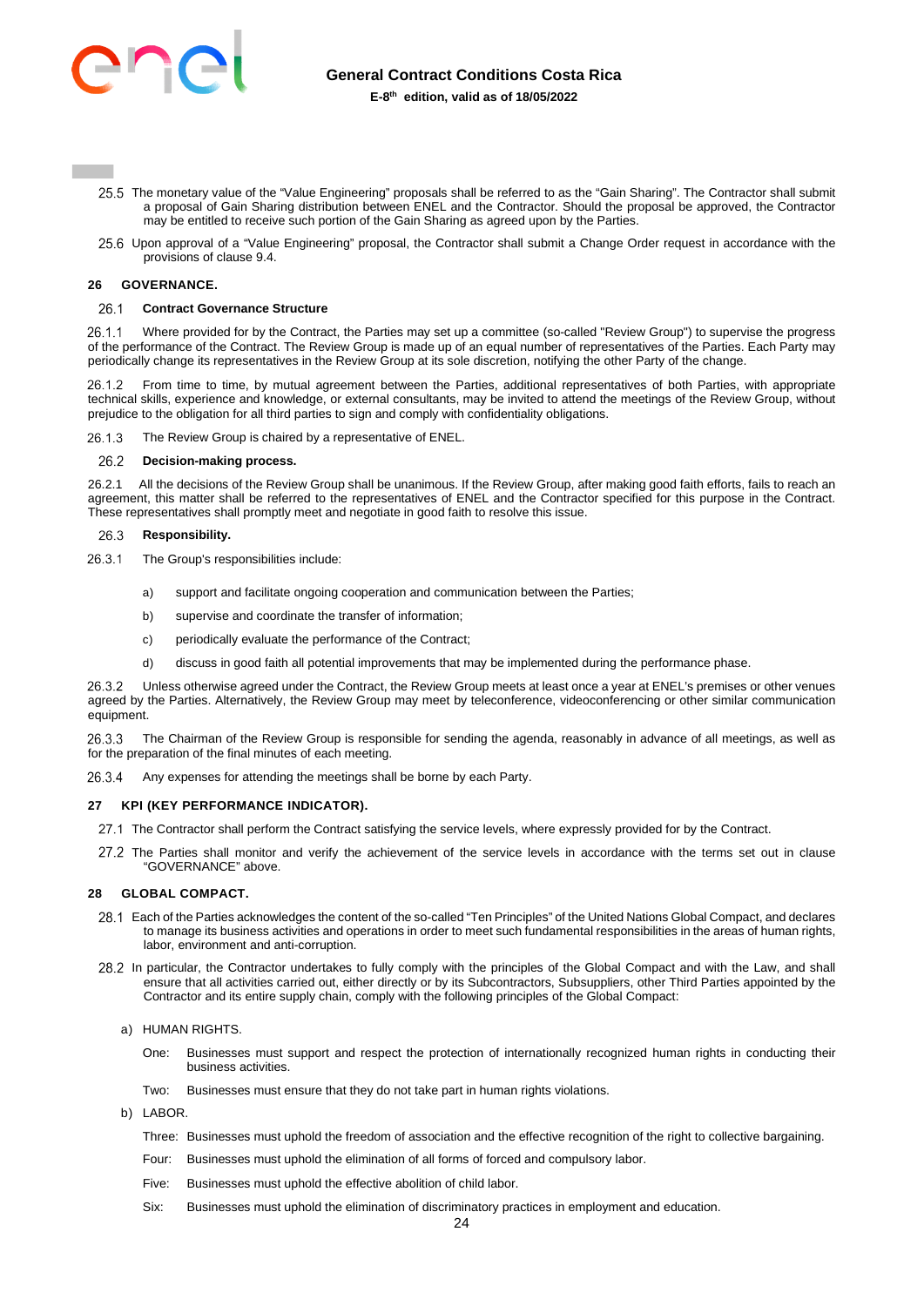

- 25.5 The monetary value of the "Value Engineering" proposals shall be referred to as the "Gain Sharing". The Contractor shall submit a proposal of Gain Sharing distribution between ENEL and the Contractor. Should the proposal be approved, the Contractor may be entitled to receive such portion of the Gain Sharing as agreed upon by the Parties.
- 25.6 Upon approval of a "Value Engineering" proposal, the Contractor shall submit a Change Order request in accordance with the provisions of clause [9.4.](#page-10-0)

### <span id="page-23-0"></span>**26 GOVERNANCE.**

#### **Contract Governance Structure**  26.1

 Where provided for by the Contract, the Parties may set up a committee (so-called "Review Group") to supervise the progress of the performance of the Contract. The Review Group is made up of an equal number of representatives of the Parties. Each Party may periodically change its representatives in the Review Group at its sole discretion, notifying the other Party of the change.

 From time to time, by mutual agreement between the Parties, additional representatives of both Parties, with appropriate technical skills, experience and knowledge, or external consultants, may be invited to attend the meetings of the Review Group, without prejudice to the obligation for all third parties to sign and comply with confidentiality obligations.

26.1.3 The Review Group is chaired by a representative of ENEL.

#### 26.2 **Decision-making process.**

26.2.1 All the decisions of the Review Group shall be unanimous. If the Review Group, after making good faith efforts, fails to reach an agreement, this matter shall be referred to the representatives of ENEL and the Contractor specified for this purpose in the Contract. These representatives shall promptly meet and negotiate in good faith to resolve this issue.

#### 26.3 **Responsibility.**

- 26.3.1 The Group's responsibilities include:
	- a) support and facilitate ongoing cooperation and communication between the Parties;
	- b) supervise and coordinate the transfer of information;
	- c) periodically evaluate the performance of the Contract;
	- d) discuss in good faith all potential improvements that may be implemented during the performance phase.

 Unless otherwise agreed under the Contract, the Review Group meets at least once a year at ENEL's premises or other venues agreed by the Parties. Alternatively, the Review Group may meet by teleconference, videoconferencing or other similar communication equipment.

 The Chairman of the Review Group is responsible for sending the agenda, reasonably in advance of all meetings, as well as for the preparation of the final minutes of each meeting.

26.3.4 Any expenses for attending the meetings shall be borne by each Party.

### <span id="page-23-1"></span>**27 KPI (KEY PERFORMANCE INDICATOR).**

- 27.1 The Contractor shall perform the Contract satisfying the service levels, where expressly provided for by the Contract.
- 27.2 The Parties shall monitor and verify the achievement of the service levels in accordance with the terms set out in clause "GOVERNANCE" above.

### <span id="page-23-2"></span>**28 GLOBAL COMPACT.**

- Each of the Parties acknowledges the content of the so-called "Ten Principles" of the United Nations Global Compact, and declares to manage its business activities and operations in order to meet such fundamental responsibilities in the areas of human rights, labor, environment and anti-corruption.
- 28.2 In particular, the Contractor undertakes to fully comply with the principles of the Global Compact and with the Law, and shall ensure that all activities carried out, either directly or by its Subcontractors, Subsuppliers, other Third Parties appointed by the Contractor and its entire supply chain, comply with the following principles of the Global Compact:
	- a) HUMAN RIGHTS.
		- One: Businesses must support and respect the protection of internationally recognized human rights in conducting their business activities.
		- Two: Businesses must ensure that they do not take part in human rights violations.
	- b) LABOR.
		- Three: Businesses must uphold the freedom of association and the effective recognition of the right to collective bargaining.
		- Four: Businesses must uphold the elimination of all forms of forced and compulsory labor.
		- Five: Businesses must uphold the effective abolition of child labor.
		- Six: Businesses must uphold the elimination of discriminatory practices in employment and education.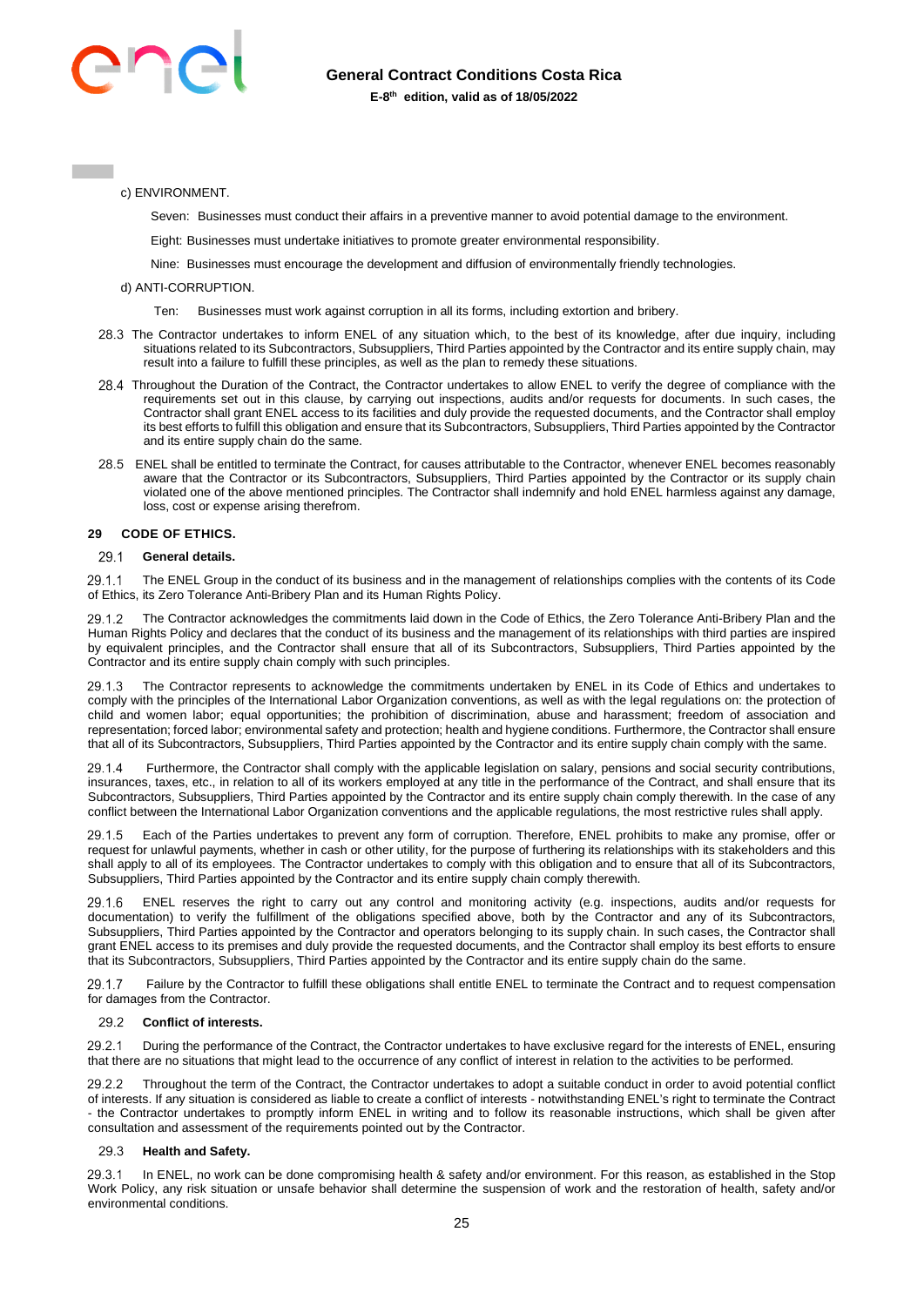

c) ENVIRONMENT.

Seven: Businesses must conduct their affairs in a preventive manner to avoid potential damage to the environment.

Eight: Businesses must undertake initiatives to promote greater environmental responsibility.

Nine: Businesses must encourage the development and diffusion of environmentally friendly technologies.

- d) ANTI-CORRUPTION.
	- Ten: Businesses must work against corruption in all its forms, including extortion and bribery.
- 28.3 The Contractor undertakes to inform ENEL of any situation which, to the best of its knowledge, after due inquiry, including situations related to its Subcontractors, Subsuppliers, Third Parties appointed by the Contractor and its entire supply chain, may result into a failure to fulfill these principles, as well as the plan to remedy these situations.
- 28.4 Throughout the Duration of the Contract, the Contractor undertakes to allow ENEL to verify the degree of compliance with the requirements set out in this clause, by carrying out inspections, audits and/or requests for documents. In such cases, the Contractor shall grant ENEL access to its facilities and duly provide the requested documents, and the Contractor shall employ its best efforts to fulfill this obligation and ensure that its Subcontractors, Subsuppliers, Third Parties appointed by the Contractor and its entire supply chain do the same.
- ENEL shall be entitled to terminate the Contract, for causes attributable to the Contractor, whenever ENEL becomes reasonably aware that the Contractor or its Subcontractors, Subsuppliers, Third Parties appointed by the Contractor or its supply chain violated one of the above mentioned principles. The Contractor shall indemnify and hold ENEL harmless against any damage, loss, cost or expense arising therefrom.

### <span id="page-24-0"></span>**29 CODE OF ETHICS.**

#### 29.1 **General details.**

29.1.1 The ENEL Group in the conduct of its business and in the management of relationships complies with the contents of its Code of Ethics, its Zero Tolerance Anti-Bribery Plan and its Human Rights Policy.

29.1.2 The Contractor acknowledges the commitments laid down in the Code of Ethics, the Zero Tolerance Anti-Bribery Plan and the Human Rights Policy and declares that the conduct of its business and the management of its relationships with third parties are inspired by equivalent principles, and the Contractor shall ensure that all of its Subcontractors, Subsuppliers, Third Parties appointed by the Contractor and its entire supply chain comply with such principles.

29.1.3 The Contractor represents to acknowledge the commitments undertaken by ENEL in its Code of Ethics and undertakes to comply with the principles of the International Labor Organization conventions, as well as with the legal regulations on: the protection of child and women labor; equal opportunities; the prohibition of discrimination, abuse and harassment; freedom of association and representation; forced labor; environmental safety and protection; health and hygiene conditions. Furthermore, the Contractor shall ensure that all of its Subcontractors, Subsuppliers, Third Parties appointed by the Contractor and its entire supply chain comply with the same.

 Furthermore, the Contractor shall comply with the applicable legislation on salary, pensions and social security contributions, insurances, taxes, etc., in relation to all of its workers employed at any title in the performance of the Contract, and shall ensure that its Subcontractors, Subsuppliers, Third Parties appointed by the Contractor and its entire supply chain comply therewith. In the case of any conflict between the International Labor Organization conventions and the applicable regulations, the most restrictive rules shall apply.

 Each of the Parties undertakes to prevent any form of corruption. Therefore, ENEL prohibits to make any promise, offer or request for unlawful payments, whether in cash or other utility, for the purpose of furthering its relationships with its stakeholders and this shall apply to all of its employees. The Contractor undertakes to comply with this obligation and to ensure that all of its Subcontractors, Subsuppliers, Third Parties appointed by the Contractor and its entire supply chain comply therewith.

 ENEL reserves the right to carry out any control and monitoring activity (e.g. inspections, audits and/or requests for documentation) to verify the fulfillment of the obligations specified above, both by the Contractor and any of its Subcontractors, Subsuppliers, Third Parties appointed by the Contractor and operators belonging to its supply chain. In such cases, the Contractor shall grant ENEL access to its premises and duly provide the requested documents, and the Contractor shall employ its best efforts to ensure that its Subcontractors, Subsuppliers, Third Parties appointed by the Contractor and its entire supply chain do the same.

 Failure by the Contractor to fulfill these obligations shall entitle ENEL to terminate the Contract and to request compensation for damages from the Contractor.

#### 29.2 **Conflict of interests.**

29.2.1 During the performance of the Contract, the Contractor undertakes to have exclusive regard for the interests of ENEL, ensuring that there are no situations that might lead to the occurrence of any conflict of interest in relation to the activities to be performed.

29.2.2 Throughout the term of the Contract, the Contractor undertakes to adopt a suitable conduct in order to avoid potential conflict of interests. If any situation is considered as liable to create a conflict of interests - notwithstanding ENEL's right to terminate the Contract - the Contractor undertakes to promptly inform ENEL in writing and to follow its reasonable instructions, which shall be given after consultation and assessment of the requirements pointed out by the Contractor.

#### 29.3 **Health and Safety.**

 In ENEL, no work can be done compromising health & safety and/or environment. For this reason, as established in the Stop Work Policy, any risk situation or unsafe behavior shall determine the suspension of work and the restoration of health, safety and/or environmental conditions.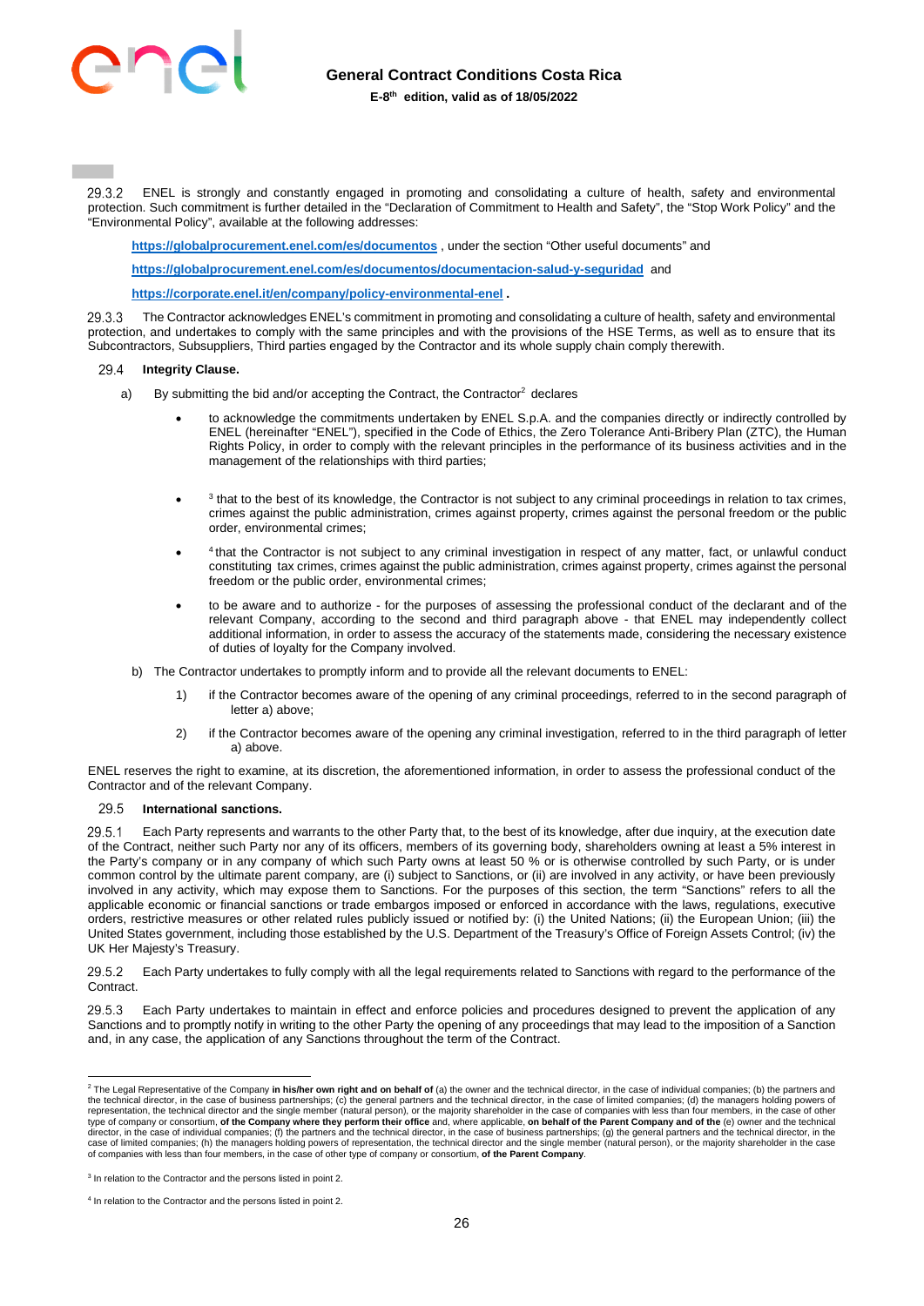

 ENEL is strongly and constantly engaged in promoting and consolidating a culture of health, safety and environmental protection. Such commitment is further detailed in the "Declaration of Commitment to Health and Safety", the "Stop Work Policy" and the "Environmental Policy", available at the following addresses:

**<https://globalprocurement.enel.com/es/documentos>** , under the section "Other useful documents" and

**<https://globalprocurement.enel.com/es/documentos/documentacion-salud-y-seguridad>**and

**<https://corporate.enel.it/en/company/policy-environmental-enel>.** 

 The Contractor acknowledges ENEL's commitment in promoting and consolidating a culture of health, safety and environmental protection, and undertakes to comply with the same principles and with the provisions of the HSE Terms, as well as to ensure that its Subcontractors, Subsuppliers, Third parties engaged by the Contractor and its whole supply chain comply therewith.

#### 29.4 **Integrity Clause.**

- a) By submitting the bid and/or accepting the Contract, the Contractor<sup>2</sup> declares
	- to acknowledge the commitments undertaken by ENEL S.p.A. and the companies directly or indirectly controlled by ENEL (hereinafter "ENEL"), specified in the Code of Ethics, the Zero Tolerance Anti-Bribery Plan (ZTC), the Human Rights Policy, in order to comply with the relevant principles in the performance of its business activities and in the management of the relationships with third parties;
	- $\ddot{\phantom{0}}$ <sup>3</sup> that to the best of its knowledge, the Contractor is not subject to any criminal proceedings in relation to tax crimes, crimes against the public administration, crimes against property, crimes against the personal freedom or the public order, environmental crimes;
	- $\bullet$ <sup>4</sup>that the Contractor is not subject to any criminal investigation in respect of any matter, fact, or unlawful conduct constituting tax crimes, crimes against the public administration, crimes against property, crimes against the personal freedom or the public order, environmental crimes;
	- to be aware and to authorize for the purposes of assessing the professional conduct of the declarant and of the relevant Company, according to the second and third paragraph above - that ENEL may independently collect additional information, in order to assess the accuracy of the statements made, considering the necessary existence of duties of loyalty for the Company involved.
	- b) The Contractor undertakes to promptly inform and to provide all the relevant documents to ENEL:
		- 1) if the Contractor becomes aware of the opening of any criminal proceedings, referred to in the second paragraph of letter a) above;
		- 2) if the Contractor becomes aware of the opening any criminal investigation, referred to in the third paragraph of letter a) above.

ENEL reserves the right to examine, at its discretion, the aforementioned information, in order to assess the professional conduct of the Contractor and of the relevant Company.

#### 29.5 **International sanctions.**

29.5.1 Each Party represents and warrants to the other Party that, to the best of its knowledge, after due inquiry, at the execution date of the Contract, neither such Party nor any of its officers, members of its governing body, shareholders owning at least a 5% interest in the Party's company or in any company of which such Party owns at least 50 % or is otherwise controlled by such Party, or is under common control by the ultimate parent company, are (i) subject to Sanctions, or (ii) are involved in any activity, or have been previously involved in any activity, which may expose them to Sanctions. For the purposes of this section, the term "Sanctions" refers to all the applicable economic or financial sanctions or trade embargos imposed or enforced in accordance with the laws, regulations, executive orders, restrictive measures or other related rules publicly issued or notified by: (i) the United Nations; (ii) the European Union; (iii) the United States government, including those established by the U.S. Department of the Treasury's Office of Foreign Assets Control; (iv) the UK Her Majesty's Treasury.

 Each Party undertakes to fully comply with all the legal requirements related to Sanctions with regard to the performance of the Contract.

 Each Party undertakes to maintain in effect and enforce policies and procedures designed to prevent the application of any Sanctions and to promptly notify in writing to the other Party the opening of any proceedings that may lead to the imposition of a Sanction and, in any case, the application of any Sanctions throughout the term of the Contract.

<sup>&</sup>lt;sup>2</sup> The Legal Representative of the Company in his/her own right and on behalf of (a) the owner and the technical director, in the case of individual companies; (b) the partners and the technical director, in the case of business partnerships; (c) the general partners and the technical director, in the case of limited companies; (d) the managers holding powers of<br>representation, the technical director type of company or consortium, **of the Company where they perform their office** and, where applicable, **on behalf of the Parent Company and of the** (e) owner and the technical<br>director, in the case of individual companies; case of limited companies; (h) the managers holding powers of representation, the technical director and the single member (natural person), or the majority shareholder in the case<br>of companies with less than four members,

<sup>&</sup>lt;sup>3</sup> In relation to the Contractor and the persons listed in point 2.

<sup>4</sup> In relation to the Contractor and the persons listed in point 2.